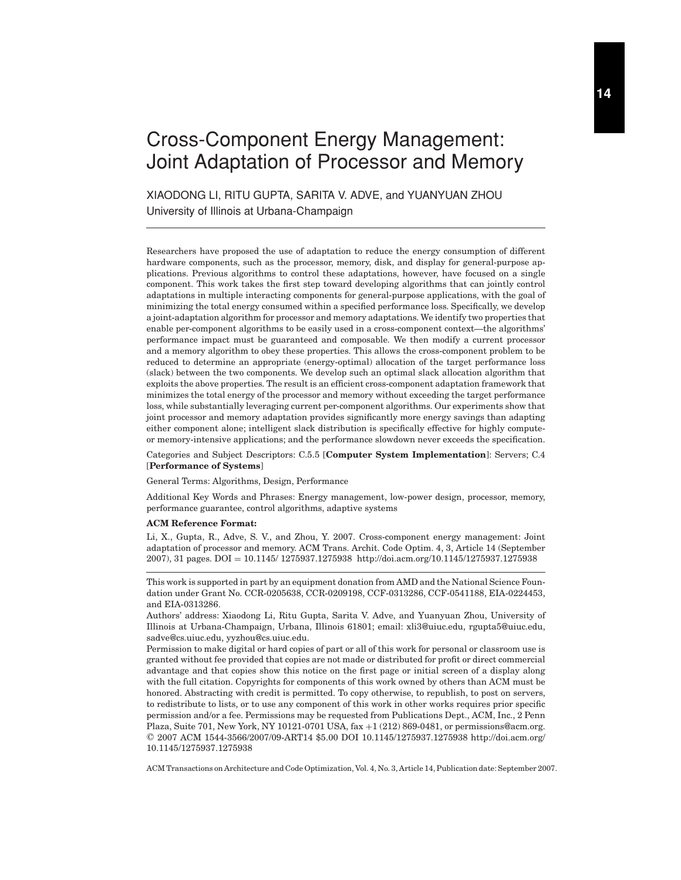# Cross-Component Energy Management: Joint Adaptation of Processor and Memory

XIAODONG LI, RITU GUPTA, SARITA V. ADVE, and YUANYUAN ZHOU University of Illinois at Urbana-Champaign

Researchers have proposed the use of adaptation to reduce the energy consumption of different hardware components, such as the processor, memory, disk, and display for general-purpose applications. Previous algorithms to control these adaptations, however, have focused on a single component. This work takes the first step toward developing algorithms that can jointly control adaptations in multiple interacting components for general-purpose applications, with the goal of minimizing the total energy consumed within a specified performance loss. Specifically, we develop a joint-adaptation algorithm for processor and memory adaptations. We identify two properties that enable per-component algorithms to be easily used in a cross-component context—the algorithms' performance impact must be guaranteed and composable. We then modify a current processor and a memory algorithm to obey these properties. This allows the cross-component problem to be reduced to determine an appropriate (energy-optimal) allocation of the target performance loss (slack) between the two components. We develop such an optimal slack allocation algorithm that exploits the above properties. The result is an efficient cross-component adaptation framework that minimizes the total energy of the processor and memory without exceeding the target performance loss, while substantially leveraging current per-component algorithms. Our experiments show that joint processor and memory adaptation provides significantly more energy savings than adapting either component alone; intelligent slack distribution is specifically effective for highly computeor memory-intensive applications; and the performance slowdown never exceeds the specification.

Categories and Subject Descriptors: C.5.5 [**Computer System Implementation**]: Servers; C.4 [**Performance of Systems**]

General Terms: Algorithms, Design, Performance

Additional Key Words and Phrases: Energy management, low-power design, processor, memory, performance guarantee, control algorithms, adaptive systems

#### **ACM Reference Format:**

Li, X., Gupta, R., Adve, S. V., and Zhou, Y. 2007. Cross-component energy management: Joint adaptation of processor and memory. ACM Trans. Archit. Code Optim. 4, 3, Article 14 (September 2007), 31 pages. DOI = 10.1145/ 1275937.1275938 http://doi.acm.org/10.1145/1275937.1275938

This work is supported in part by an equipment donation from AMD and the National Science Foundation under Grant No. CCR-0205638, CCR-0209198, CCF-0313286, CCF-0541188, EIA-0224453, and EIA-0313286.

Authors' address: Xiaodong Li, Ritu Gupta, Sarita V. Adve, and Yuanyuan Zhou, University of Illinois at Urbana-Champaign, Urbana, Illinois 61801; email: xli3@uiuc.edu, rgupta5@uiuc.edu, sadve@cs.uiuc.edu, yyzhou@cs.uiuc.edu.

Permission to make digital or hard copies of part or all of this work for personal or classroom use is granted without fee provided that copies are not made or distributed for profit or direct commercial advantage and that copies show this notice on the first page or initial screen of a display along with the full citation. Copyrights for components of this work owned by others than ACM must be honored. Abstracting with credit is permitted. To copy otherwise, to republish, to post on servers, to redistribute to lists, or to use any component of this work in other works requires prior specific permission and/or a fee. Permissions may be requested from Publications Dept., ACM, Inc., 2 Penn Plaza, Suite 701, New York, NY 10121-0701 USA, fax +1 (212) 869-0481, or permissions@acm.org. © 2007 ACM 1544-3566/2007/09-ART14 \$5.00 DOI 10.1145/1275937.1275938 http://doi.acm.org/ 10.1145/1275937.1275938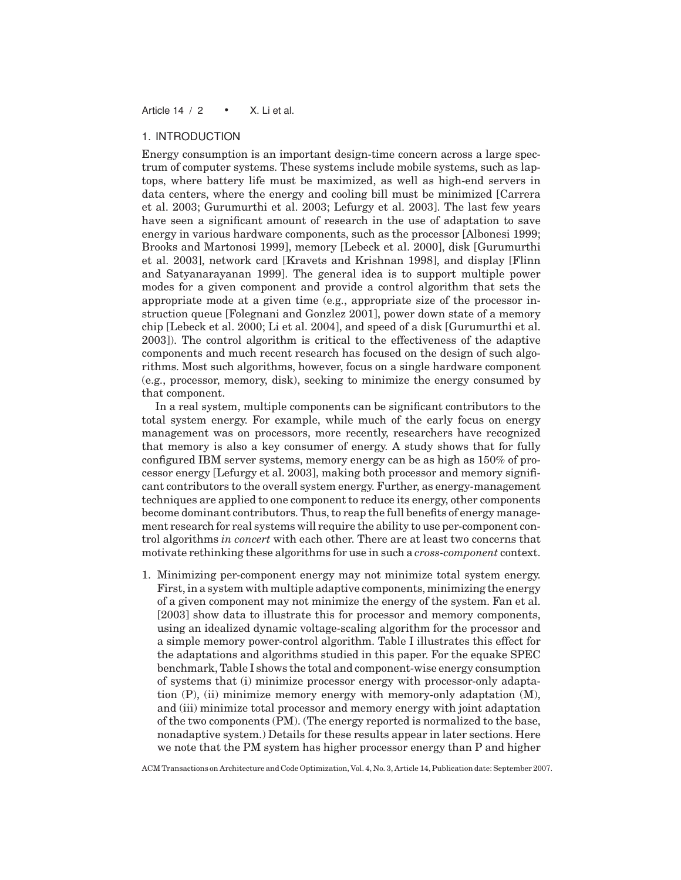Article 14 / 2 • X. Li et al.

# 1. INTRODUCTION

Energy consumption is an important design-time concern across a large spectrum of computer systems. These systems include mobile systems, such as laptops, where battery life must be maximized, as well as high-end servers in data centers, where the energy and cooling bill must be minimized [Carrera et al. 2003; Gurumurthi et al. 2003; Lefurgy et al. 2003]. The last few years have seen a significant amount of research in the use of adaptation to save energy in various hardware components, such as the processor [Albonesi 1999; Brooks and Martonosi 1999], memory [Lebeck et al. 2000], disk [Gurumurthi et al. 2003], network card [Kravets and Krishnan 1998], and display [Flinn and Satyanarayanan 1999]. The general idea is to support multiple power modes for a given component and provide a control algorithm that sets the appropriate mode at a given time (e.g., appropriate size of the processor instruction queue [Folegnani and Gonzlez 2001], power down state of a memory chip [Lebeck et al. 2000; Li et al. 2004], and speed of a disk [Gurumurthi et al. 2003]). The control algorithm is critical to the effectiveness of the adaptive components and much recent research has focused on the design of such algorithms. Most such algorithms, however, focus on a single hardware component (e.g., processor, memory, disk), seeking to minimize the energy consumed by that component.

In a real system, multiple components can be significant contributors to the total system energy. For example, while much of the early focus on energy management was on processors, more recently, researchers have recognized that memory is also a key consumer of energy. A study shows that for fully configured IBM server systems, memory energy can be as high as 150% of processor energy [Lefurgy et al. 2003], making both processor and memory significant contributors to the overall system energy. Further, as energy-management techniques are applied to one component to reduce its energy, other components become dominant contributors. Thus, to reap the full benefits of energy management research for real systems will require the ability to use per-component control algorithms *in concert* with each other. There are at least two concerns that motivate rethinking these algorithms for use in such a *cross-component* context.

1. Minimizing per-component energy may not minimize total system energy. First, in a system with multiple adaptive components, minimizing the energy of a given component may not minimize the energy of the system. Fan et al. [2003] show data to illustrate this for processor and memory components, using an idealized dynamic voltage-scaling algorithm for the processor and a simple memory power-control algorithm. Table I illustrates this effect for the adaptations and algorithms studied in this paper. For the equake SPEC benchmark, Table I shows the total and component-wise energy consumption of systems that (i) minimize processor energy with processor-only adaptation (P), (ii) minimize memory energy with memory-only adaptation (M), and (iii) minimize total processor and memory energy with joint adaptation of the two components (PM). (The energy reported is normalized to the base, nonadaptive system.) Details for these results appear in later sections. Here we note that the PM system has higher processor energy than P and higher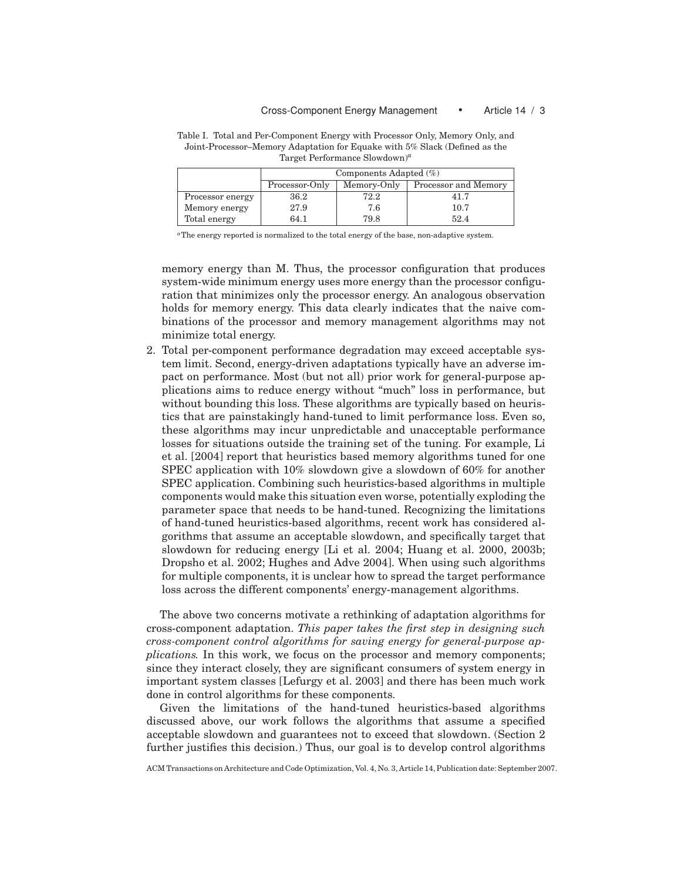|                  | Components Adapted $(\%)$ |             |                      |  |  |  |  |  |  |  |  |  |
|------------------|---------------------------|-------------|----------------------|--|--|--|--|--|--|--|--|--|
|                  | Processor-Only            | Memory-Only | Processor and Memory |  |  |  |  |  |  |  |  |  |
| Processor energy | 36.2                      | 72.2        | 41.7                 |  |  |  |  |  |  |  |  |  |
| Memory energy    | 27.9                      | 7.6         | 10.7                 |  |  |  |  |  |  |  |  |  |
| Total energy     | 64.1                      | 79.8        | 52.4                 |  |  |  |  |  |  |  |  |  |

Table I. Total and Per-Component Energy with Processor Only, Memory Only, and Joint-Processor–Memory Adaptation for Equake with 5% Slack (Defined as the Target Performance Slowdown)*<sup>a</sup>*

*<sup>a</sup>*The energy reported is normalized to the total energy of the base, non-adaptive system.

memory energy than M. Thus, the processor configuration that produces system-wide minimum energy uses more energy than the processor configuration that minimizes only the processor energy. An analogous observation holds for memory energy. This data clearly indicates that the naive combinations of the processor and memory management algorithms may not minimize total energy.

2. Total per-component performance degradation may exceed acceptable system limit. Second, energy-driven adaptations typically have an adverse impact on performance. Most (but not all) prior work for general-purpose applications aims to reduce energy without "much" loss in performance, but without bounding this loss. These algorithms are typically based on heuristics that are painstakingly hand-tuned to limit performance loss. Even so, these algorithms may incur unpredictable and unacceptable performance losses for situations outside the training set of the tuning. For example, Li et al. [2004] report that heuristics based memory algorithms tuned for one SPEC application with 10% slowdown give a slowdown of 60% for another SPEC application. Combining such heuristics-based algorithms in multiple components would make this situation even worse, potentially exploding the parameter space that needs to be hand-tuned. Recognizing the limitations of hand-tuned heuristics-based algorithms, recent work has considered algorithms that assume an acceptable slowdown, and specifically target that slowdown for reducing energy [Li et al. 2004; Huang et al. 2000, 2003b; Dropsho et al. 2002; Hughes and Adve 2004]. When using such algorithms for multiple components, it is unclear how to spread the target performance loss across the different components' energy-management algorithms.

The above two concerns motivate a rethinking of adaptation algorithms for cross-component adaptation. *This paper takes the first step in designing such cross-component control algorithms for saving energy for general-purpose applications.* In this work, we focus on the processor and memory components; since they interact closely, they are significant consumers of system energy in important system classes [Lefurgy et al. 2003] and there has been much work done in control algorithms for these components.

Given the limitations of the hand-tuned heuristics-based algorithms discussed above, our work follows the algorithms that assume a specified acceptable slowdown and guarantees not to exceed that slowdown. (Section 2 further justifies this decision.) Thus, our goal is to develop control algorithms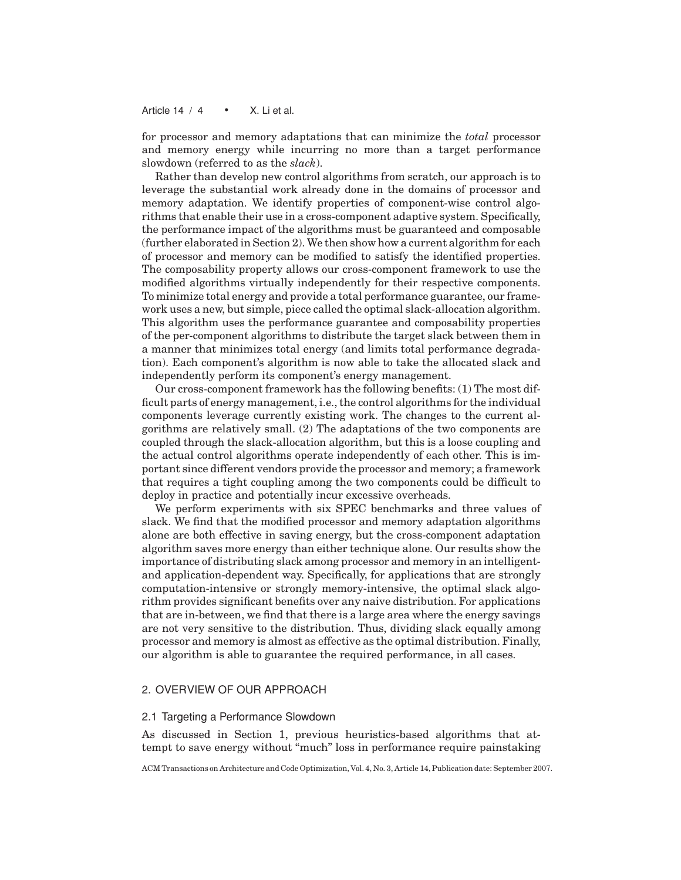Article 14 / 4 • X. Li et al.

for processor and memory adaptations that can minimize the *total* processor and memory energy while incurring no more than a target performance slowdown (referred to as the *slack*).

Rather than develop new control algorithms from scratch, our approach is to leverage the substantial work already done in the domains of processor and memory adaptation. We identify properties of component-wise control algorithms that enable their use in a cross-component adaptive system. Specifically, the performance impact of the algorithms must be guaranteed and composable (further elaborated in Section 2). We then show how a current algorithm for each of processor and memory can be modified to satisfy the identified properties. The composability property allows our cross-component framework to use the modified algorithms virtually independently for their respective components. To minimize total energy and provide a total performance guarantee, our framework uses a new, but simple, piece called the optimal slack-allocation algorithm. This algorithm uses the performance guarantee and composability properties of the per-component algorithms to distribute the target slack between them in a manner that minimizes total energy (and limits total performance degradation). Each component's algorithm is now able to take the allocated slack and independently perform its component's energy management.

Our cross-component framework has the following benefits: (1) The most difficult parts of energy management, i.e., the control algorithms for the individual components leverage currently existing work. The changes to the current algorithms are relatively small. (2) The adaptations of the two components are coupled through the slack-allocation algorithm, but this is a loose coupling and the actual control algorithms operate independently of each other. This is important since different vendors provide the processor and memory; a framework that requires a tight coupling among the two components could be difficult to deploy in practice and potentially incur excessive overheads.

We perform experiments with six SPEC benchmarks and three values of slack. We find that the modified processor and memory adaptation algorithms alone are both effective in saving energy, but the cross-component adaptation algorithm saves more energy than either technique alone. Our results show the importance of distributing slack among processor and memory in an intelligentand application-dependent way. Specifically, for applications that are strongly computation-intensive or strongly memory-intensive, the optimal slack algorithm provides significant benefits over any naive distribution. For applications that are in-between, we find that there is a large area where the energy savings are not very sensitive to the distribution. Thus, dividing slack equally among processor and memory is almost as effective as the optimal distribution. Finally, our algorithm is able to guarantee the required performance, in all cases.

# 2. OVERVIEW OF OUR APPROACH

## 2.1 Targeting a Performance Slowdown

As discussed in Section 1, previous heuristics-based algorithms that attempt to save energy without "much" loss in performance require painstaking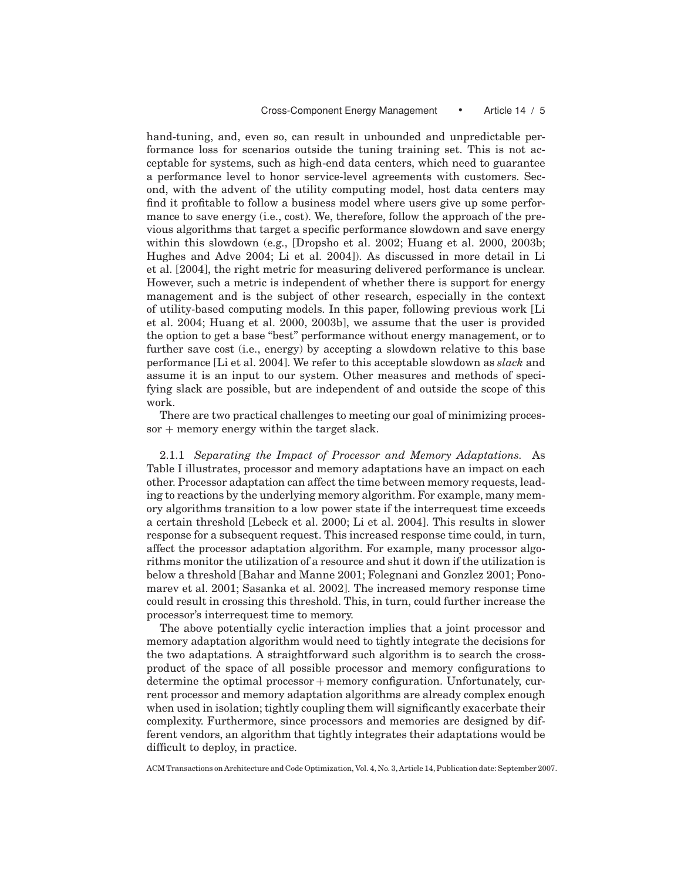hand-tuning, and, even so, can result in unbounded and unpredictable performance loss for scenarios outside the tuning training set. This is not acceptable for systems, such as high-end data centers, which need to guarantee a performance level to honor service-level agreements with customers. Second, with the advent of the utility computing model, host data centers may find it profitable to follow a business model where users give up some performance to save energy (i.e., cost). We, therefore, follow the approach of the previous algorithms that target a specific performance slowdown and save energy within this slowdown (e.g., [Dropsho et al. 2002; Huang et al. 2000, 2003b; Hughes and Adve 2004; Li et al. 2004]). As discussed in more detail in Li et al. [2004], the right metric for measuring delivered performance is unclear. However, such a metric is independent of whether there is support for energy management and is the subject of other research, especially in the context of utility-based computing models. In this paper, following previous work [Li et al. 2004; Huang et al. 2000, 2003b], we assume that the user is provided the option to get a base "best" performance without energy management, or to further save cost (i.e., energy) by accepting a slowdown relative to this base performance [Li et al. 2004]. We refer to this acceptable slowdown as *slack* and assume it is an input to our system. Other measures and methods of specifying slack are possible, but are independent of and outside the scope of this work.

There are two practical challenges to meeting our goal of minimizing proces $s$ or  $+$  memory energy within the target slack.

2.1.1 *Separating the Impact of Processor and Memory Adaptations.* As Table I illustrates, processor and memory adaptations have an impact on each other. Processor adaptation can affect the time between memory requests, leading to reactions by the underlying memory algorithm. For example, many memory algorithms transition to a low power state if the interrequest time exceeds a certain threshold [Lebeck et al. 2000; Li et al. 2004]. This results in slower response for a subsequent request. This increased response time could, in turn, affect the processor adaptation algorithm. For example, many processor algorithms monitor the utilization of a resource and shut it down if the utilization is below a threshold [Bahar and Manne 2001; Folegnani and Gonzlez 2001; Ponomarev et al. 2001; Sasanka et al. 2002]. The increased memory response time could result in crossing this threshold. This, in turn, could further increase the processor's interrequest time to memory.

The above potentially cyclic interaction implies that a joint processor and memory adaptation algorithm would need to tightly integrate the decisions for the two adaptations. A straightforward such algorithm is to search the crossproduct of the space of all possible processor and memory configurations to determine the optimal processor + memory configuration. Unfortunately, current processor and memory adaptation algorithms are already complex enough when used in isolation; tightly coupling them will significantly exacerbate their complexity. Furthermore, since processors and memories are designed by different vendors, an algorithm that tightly integrates their adaptations would be difficult to deploy, in practice.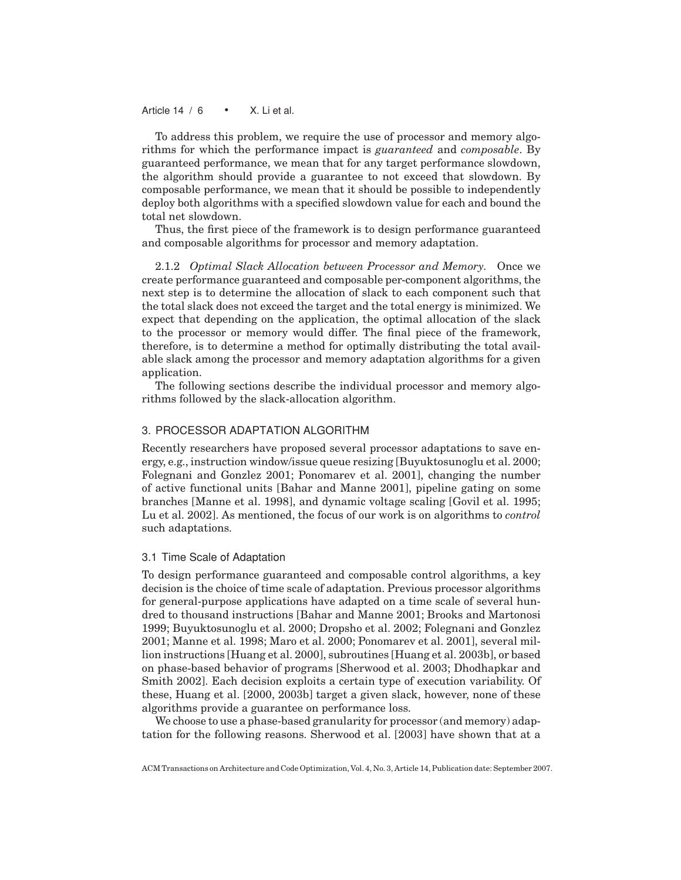## Article 14 / 6 • X. Li et al.

To address this problem, we require the use of processor and memory algorithms for which the performance impact is *guaranteed* and *composable*. By guaranteed performance, we mean that for any target performance slowdown, the algorithm should provide a guarantee to not exceed that slowdown. By composable performance, we mean that it should be possible to independently deploy both algorithms with a specified slowdown value for each and bound the total net slowdown.

Thus, the first piece of the framework is to design performance guaranteed and composable algorithms for processor and memory adaptation.

2.1.2 *Optimal Slack Allocation between Processor and Memory.* Once we create performance guaranteed and composable per-component algorithms, the next step is to determine the allocation of slack to each component such that the total slack does not exceed the target and the total energy is minimized. We expect that depending on the application, the optimal allocation of the slack to the processor or memory would differ. The final piece of the framework, therefore, is to determine a method for optimally distributing the total available slack among the processor and memory adaptation algorithms for a given application.

The following sections describe the individual processor and memory algorithms followed by the slack-allocation algorithm.

# 3. PROCESSOR ADAPTATION ALGORITHM

Recently researchers have proposed several processor adaptations to save energy, e.g., instruction window/issue queue resizing [Buyuktosunoglu et al. 2000; Folegnani and Gonzlez 2001; Ponomarev et al. 2001], changing the number of active functional units [Bahar and Manne 2001], pipeline gating on some branches [Manne et al. 1998], and dynamic voltage scaling [Govil et al. 1995; Lu et al. 2002]. As mentioned, the focus of our work is on algorithms to *control* such adaptations.

## 3.1 Time Scale of Adaptation

To design performance guaranteed and composable control algorithms, a key decision is the choice of time scale of adaptation. Previous processor algorithms for general-purpose applications have adapted on a time scale of several hundred to thousand instructions [Bahar and Manne 2001; Brooks and Martonosi 1999; Buyuktosunoglu et al. 2000; Dropsho et al. 2002; Folegnani and Gonzlez 2001; Manne et al. 1998; Maro et al. 2000; Ponomarev et al. 2001], several million instructions [Huang et al. 2000], subroutines [Huang et al. 2003b], or based on phase-based behavior of programs [Sherwood et al. 2003; Dhodhapkar and Smith 2002]. Each decision exploits a certain type of execution variability. Of these, Huang et al. [2000, 2003b] target a given slack, however, none of these algorithms provide a guarantee on performance loss.

We choose to use a phase-based granularity for processor (and memory) adaptation for the following reasons. Sherwood et al. [2003] have shown that at a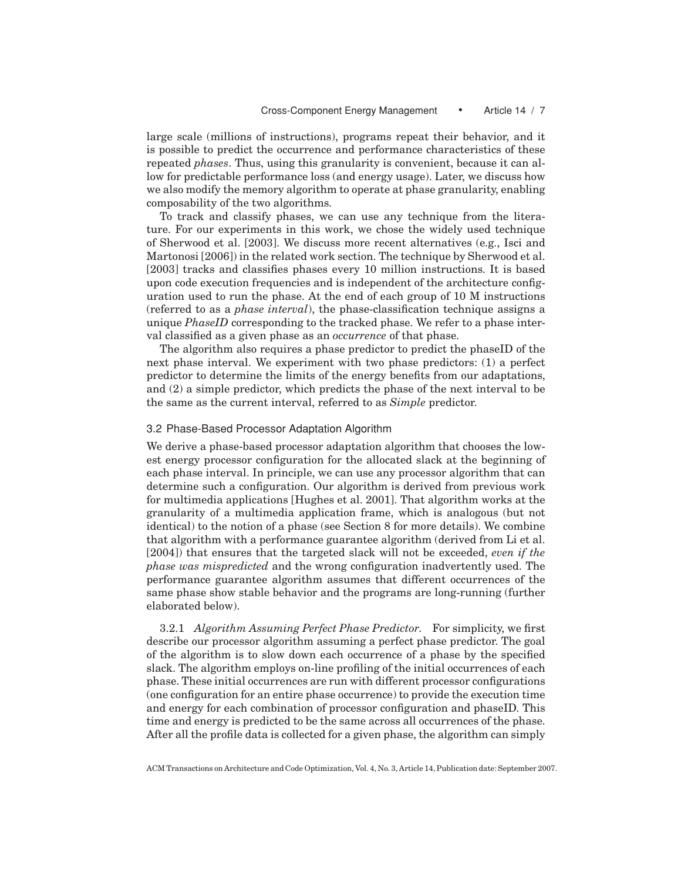large scale (millions of instructions), programs repeat their behavior, and it is possible to predict the occurrence and performance characteristics of these repeated *phases*. Thus, using this granularity is convenient, because it can allow for predictable performance loss (and energy usage). Later, we discuss how we also modify the memory algorithm to operate at phase granularity, enabling composability of the two algorithms.

To track and classify phases, we can use any technique from the literature. For our experiments in this work, we chose the widely used technique of Sherwood et al. [2003]. We discuss more recent alternatives (e.g., Isci and Martonosi [2006]) in the related work section. The technique by Sherwood et al. [2003] tracks and classifies phases every 10 million instructions. It is based upon code execution frequencies and is independent of the architecture configuration used to run the phase. At the end of each group of 10 M instructions (referred to as a *phase interval*), the phase-classification technique assigns a unique *PhaseID* corresponding to the tracked phase. We refer to a phase interval classified as a given phase as an *occurrence* of that phase.

The algorithm also requires a phase predictor to predict the phaseID of the next phase interval. We experiment with two phase predictors: (1) a perfect predictor to determine the limits of the energy benefits from our adaptations, and (2) a simple predictor, which predicts the phase of the next interval to be the same as the current interval, referred to as *Simple* predictor.

# 3.2 Phase-Based Processor Adaptation Algorithm

We derive a phase-based processor adaptation algorithm that chooses the lowest energy processor configuration for the allocated slack at the beginning of each phase interval. In principle, we can use any processor algorithm that can determine such a configuration. Our algorithm is derived from previous work for multimedia applications [Hughes et al. 2001]. That algorithm works at the granularity of a multimedia application frame, which is analogous (but not identical) to the notion of a phase (see Section 8 for more details). We combine that algorithm with a performance guarantee algorithm (derived from Li et al. [2004]) that ensures that the targeted slack will not be exceeded, *even if the phase was mispredicted* and the wrong configuration inadvertently used. The performance guarantee algorithm assumes that different occurrences of the same phase show stable behavior and the programs are long-running (further elaborated below).

3.2.1 *Algorithm Assuming Perfect Phase Predictor.* For simplicity, we first describe our processor algorithm assuming a perfect phase predictor. The goal of the algorithm is to slow down each occurrence of a phase by the specified slack. The algorithm employs on-line profiling of the initial occurrences of each phase. These initial occurrences are run with different processor configurations (one configuration for an entire phase occurrence) to provide the execution time and energy for each combination of processor configuration and phaseID. This time and energy is predicted to be the same across all occurrences of the phase. After all the profile data is collected for a given phase, the algorithm can simply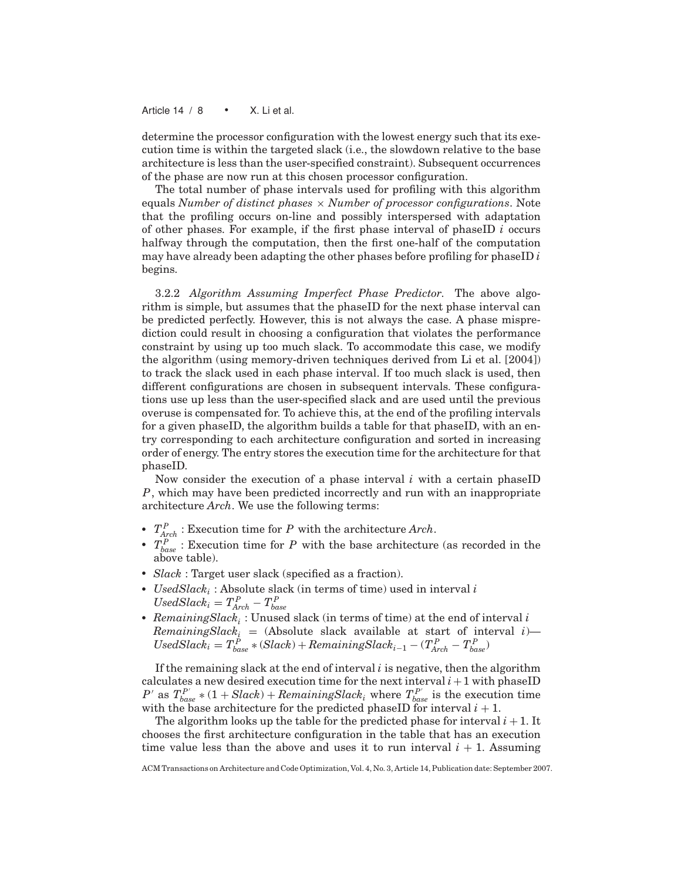Article 14 / 8 • X. Li et al.

determine the processor configuration with the lowest energy such that its execution time is within the targeted slack (i.e., the slowdown relative to the base architecture is less than the user-specified constraint). Subsequent occurrences of the phase are now run at this chosen processor configuration.

The total number of phase intervals used for profiling with this algorithm equals *Number of distinct phases* × *Number of processor configurations*. Note that the profiling occurs on-line and possibly interspersed with adaptation of other phases. For example, if the first phase interval of phaseID *i* occurs halfway through the computation, then the first one-half of the computation may have already been adapting the other phases before profiling for phaseID *i* begins.

3.2.2 *Algorithm Assuming Imperfect Phase Predictor.* The above algorithm is simple, but assumes that the phaseID for the next phase interval can be predicted perfectly. However, this is not always the case. A phase misprediction could result in choosing a configuration that violates the performance constraint by using up too much slack. To accommodate this case, we modify the algorithm (using memory-driven techniques derived from Li et al. [2004]) to track the slack used in each phase interval. If too much slack is used, then different configurations are chosen in subsequent intervals. These configurations use up less than the user-specified slack and are used until the previous overuse is compensated for. To achieve this, at the end of the profiling intervals for a given phaseID, the algorithm builds a table for that phaseID, with an entry corresponding to each architecture configuration and sorted in increasing order of energy. The entry stores the execution time for the architecture for that phaseID.

Now consider the execution of a phase interval *i* with a certain phaseID *P*, which may have been predicted incorrectly and run with an inappropriate architecture *Arch*. We use the following terms:

- -*T*<sub>*Arch*</sub>: Execution time for *P* with the architecture *Arch*.
- *T*<sup>*P*</sup><sub>*base*</sub>: Execution time for *P* with the base architecture (as recorded in the above table).
- *Slack* : Target user slack (specified as a fraction).
- *UsedSlacki* : Absolute slack (in terms of time) used in interval *i*  $U$ sed $Slack_i = T_{Arch}^P - T_{base}^P$
- $\bullet$  *RemainingSlack<sub>i</sub>* : Unused slack (in terms of time) at the end of interval  $i$  $RemainingSlack_i = (Absolute slack available at start of interval i)$ —  $Use dSlack_i = T_{base}^P * (Slack) + RemainingSlack_{i-1} - (T_{Arch}^P - T_{base}^P)$

If the remaining slack at the end of interval *i* is negative, then the algorithm calculates a new desired execution time for the next interval  $i + 1$  with phaseID  $P'$  as  $T_{base}^{P'} * (1 + Slack) + RemainingSlack_i$  where  $T_{base}^{P'}$  is the execution time with the base architecture for the predicted phaseID for interval  $i + 1$ .

The algorithm looks up the table for the predicted phase for interval  $i + 1$ . It chooses the first architecture configuration in the table that has an execution time value less than the above and uses it to run interval  $i + 1$ . Assuming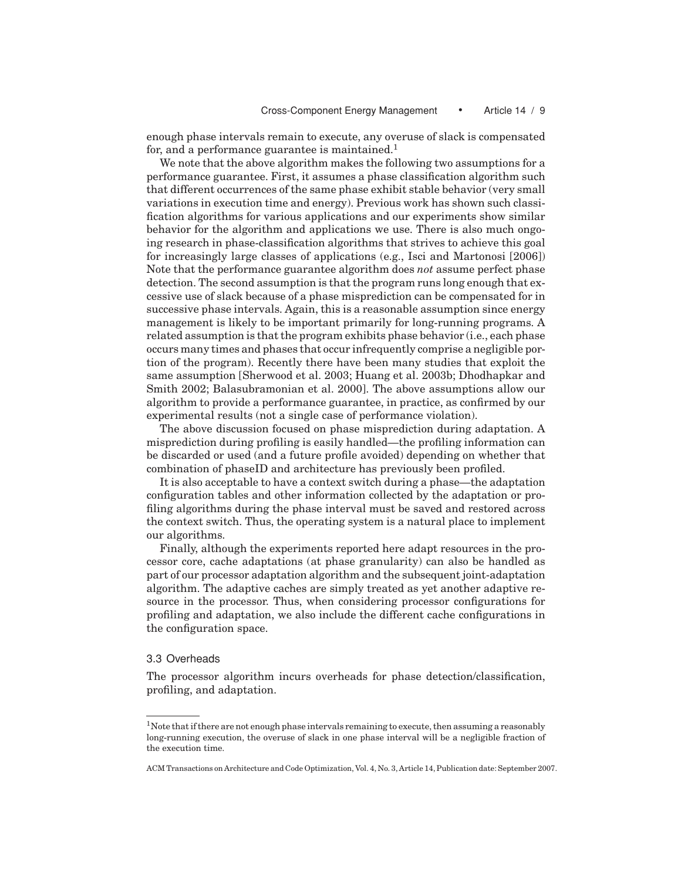enough phase intervals remain to execute, any overuse of slack is compensated for, and a performance guarantee is maintained.<sup>1</sup>

We note that the above algorithm makes the following two assumptions for a performance guarantee. First, it assumes a phase classification algorithm such that different occurrences of the same phase exhibit stable behavior (very small variations in execution time and energy). Previous work has shown such classification algorithms for various applications and our experiments show similar behavior for the algorithm and applications we use. There is also much ongoing research in phase-classification algorithms that strives to achieve this goal for increasingly large classes of applications (e.g., Isci and Martonosi [2006]) Note that the performance guarantee algorithm does *not* assume perfect phase detection. The second assumption is that the program runs long enough that excessive use of slack because of a phase misprediction can be compensated for in successive phase intervals. Again, this is a reasonable assumption since energy management is likely to be important primarily for long-running programs. A related assumption is that the program exhibits phase behavior (i.e., each phase occurs many times and phases that occur infrequently comprise a negligible portion of the program). Recently there have been many studies that exploit the same assumption [Sherwood et al. 2003; Huang et al. 2003b; Dhodhapkar and Smith 2002; Balasubramonian et al. 2000]. The above assumptions allow our algorithm to provide a performance guarantee, in practice, as confirmed by our experimental results (not a single case of performance violation).

The above discussion focused on phase misprediction during adaptation. A misprediction during profiling is easily handled—the profiling information can be discarded or used (and a future profile avoided) depending on whether that combination of phaseID and architecture has previously been profiled.

It is also acceptable to have a context switch during a phase—the adaptation configuration tables and other information collected by the adaptation or profiling algorithms during the phase interval must be saved and restored across the context switch. Thus, the operating system is a natural place to implement our algorithms.

Finally, although the experiments reported here adapt resources in the processor core, cache adaptations (at phase granularity) can also be handled as part of our processor adaptation algorithm and the subsequent joint-adaptation algorithm. The adaptive caches are simply treated as yet another adaptive resource in the processor. Thus, when considering processor configurations for profiling and adaptation, we also include the different cache configurations in the configuration space.

# 3.3 Overheads

The processor algorithm incurs overheads for phase detection/classification, profiling, and adaptation.

<sup>&</sup>lt;sup>1</sup>Note that if there are not enough phase intervals remaining to execute, then assuming a reasonably long-running execution, the overuse of slack in one phase interval will be a negligible fraction of the execution time.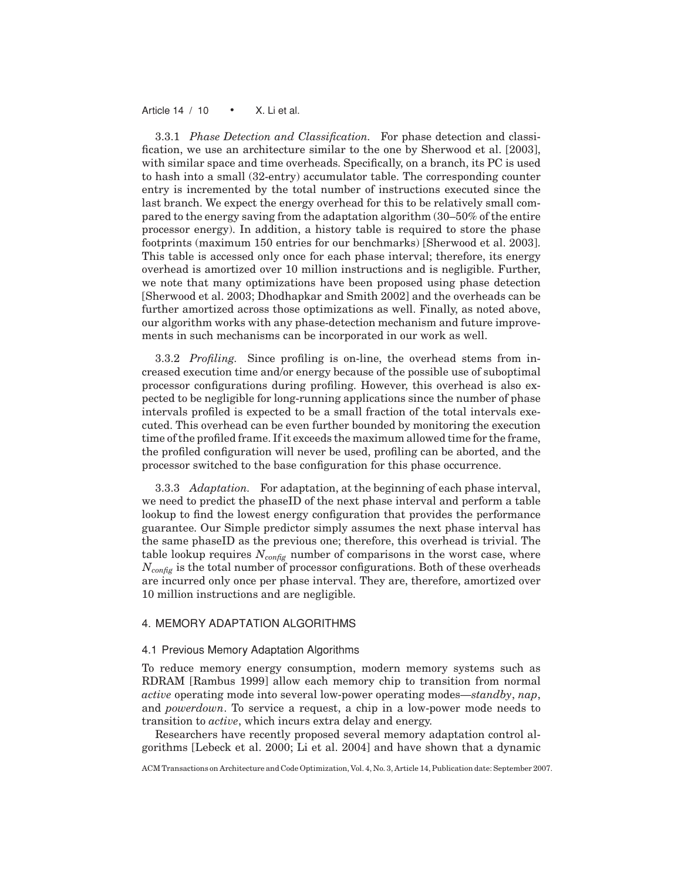Article 14 / 10 • X. Li et al.

3.3.1 *Phase Detection and Classification.* For phase detection and classification, we use an architecture similar to the one by Sherwood et al. [2003], with similar space and time overheads. Specifically, on a branch, its PC is used to hash into a small (32-entry) accumulator table. The corresponding counter entry is incremented by the total number of instructions executed since the last branch. We expect the energy overhead for this to be relatively small compared to the energy saving from the adaptation algorithm (30–50% of the entire processor energy). In addition, a history table is required to store the phase footprints (maximum 150 entries for our benchmarks) [Sherwood et al. 2003]. This table is accessed only once for each phase interval; therefore, its energy overhead is amortized over 10 million instructions and is negligible. Further, we note that many optimizations have been proposed using phase detection [Sherwood et al. 2003; Dhodhapkar and Smith 2002] and the overheads can be further amortized across those optimizations as well. Finally, as noted above, our algorithm works with any phase-detection mechanism and future improvements in such mechanisms can be incorporated in our work as well.

3.3.2 *Profiling.* Since profiling is on-line, the overhead stems from increased execution time and/or energy because of the possible use of suboptimal processor configurations during profiling. However, this overhead is also expected to be negligible for long-running applications since the number of phase intervals profiled is expected to be a small fraction of the total intervals executed. This overhead can be even further bounded by monitoring the execution time of the profiled frame. If it exceeds the maximum allowed time for the frame, the profiled configuration will never be used, profiling can be aborted, and the processor switched to the base configuration for this phase occurrence.

3.3.3 *Adaptation.* For adaptation, at the beginning of each phase interval, we need to predict the phaseID of the next phase interval and perform a table lookup to find the lowest energy configuration that provides the performance guarantee. Our Simple predictor simply assumes the next phase interval has the same phaseID as the previous one; therefore, this overhead is trivial. The table lookup requires  $N_{config}$  number of comparisons in the worst case, where *N<sub>config</sub>* is the total number of processor configurations. Both of these overheads are incurred only once per phase interval. They are, therefore, amortized over 10 million instructions and are negligible.

# 4. MEMORY ADAPTATION ALGORITHMS

## 4.1 Previous Memory Adaptation Algorithms

To reduce memory energy consumption, modern memory systems such as RDRAM [Rambus 1999] allow each memory chip to transition from normal *active* operating mode into several low-power operating modes—*standby*, *nap*, and *powerdown*. To service a request, a chip in a low-power mode needs to transition to *active*, which incurs extra delay and energy.

Researchers have recently proposed several memory adaptation control algorithms [Lebeck et al. 2000; Li et al. 2004] and have shown that a dynamic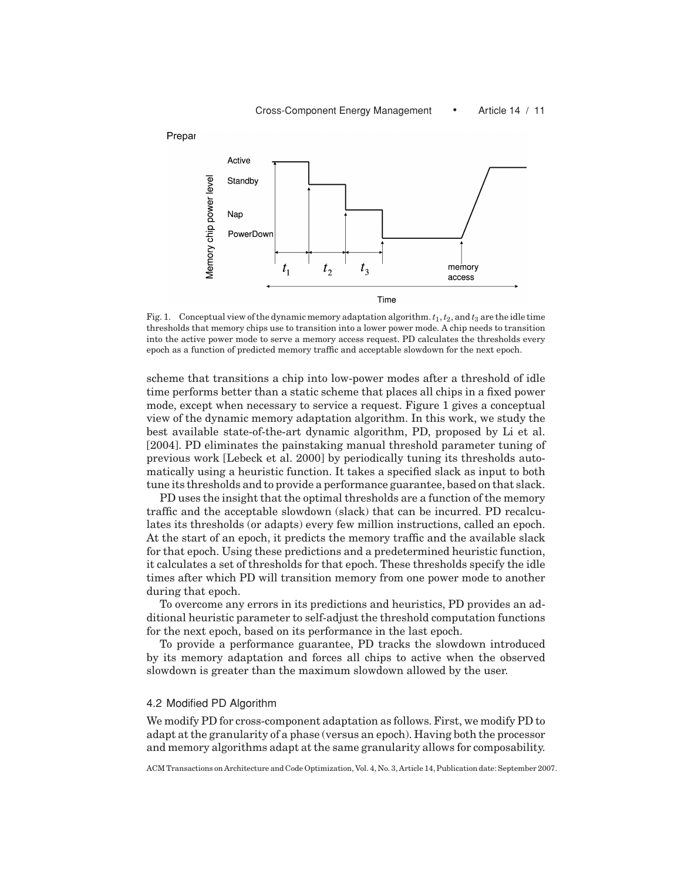

Fig. 1. Conceptual view of the dynamic memory adaptation algorithm.  $t_1, t_2$ , and  $t_3$  are the idle time thresholds that memory chips use to transition into a lower power mode. A chip needs to transition into the active power mode to serve a memory access request. PD calculates the thresholds every epoch as a function of predicted memory traffic and acceptable slowdown for the next epoch.

scheme that transitions a chip into low-power modes after a threshold of idle time performs better than a static scheme that places all chips in a fixed power mode, except when necessary to service a request. Figure 1 gives a conceptual view of the dynamic memory adaptation algorithm. In this work, we study the best available state-of-the-art dynamic algorithm, PD, proposed by Li et al. [2004]. PD eliminates the painstaking manual threshold parameter tuning of previous work [Lebeck et al. 2000] by periodically tuning its thresholds automatically using a heuristic function. It takes a specified slack as input to both tune its thresholds and to provide a performance guarantee, based on that slack.

PD uses the insight that the optimal thresholds are a function of the memory traffic and the acceptable slowdown (slack) that can be incurred. PD recalculates its thresholds (or adapts) every few million instructions, called an epoch. At the start of an epoch, it predicts the memory traffic and the available slack for that epoch. Using these predictions and a predetermined heuristic function, it calculates a set of thresholds for that epoch. These thresholds specify the idle times after which PD will transition memory from one power mode to another during that epoch.

To overcome any errors in its predictions and heuristics, PD provides an additional heuristic parameter to self-adjust the threshold computation functions for the next epoch, based on its performance in the last epoch.

To provide a performance guarantee, PD tracks the slowdown introduced by its memory adaptation and forces all chips to active when the observed slowdown is greater than the maximum slowdown allowed by the user.

# 4.2 Modified PD Algorithm

We modify PD for cross-component adaptation as follows. First, we modify PD to adapt at the granularity of a phase (versus an epoch). Having both the processor and memory algorithms adapt at the same granularity allows for composability.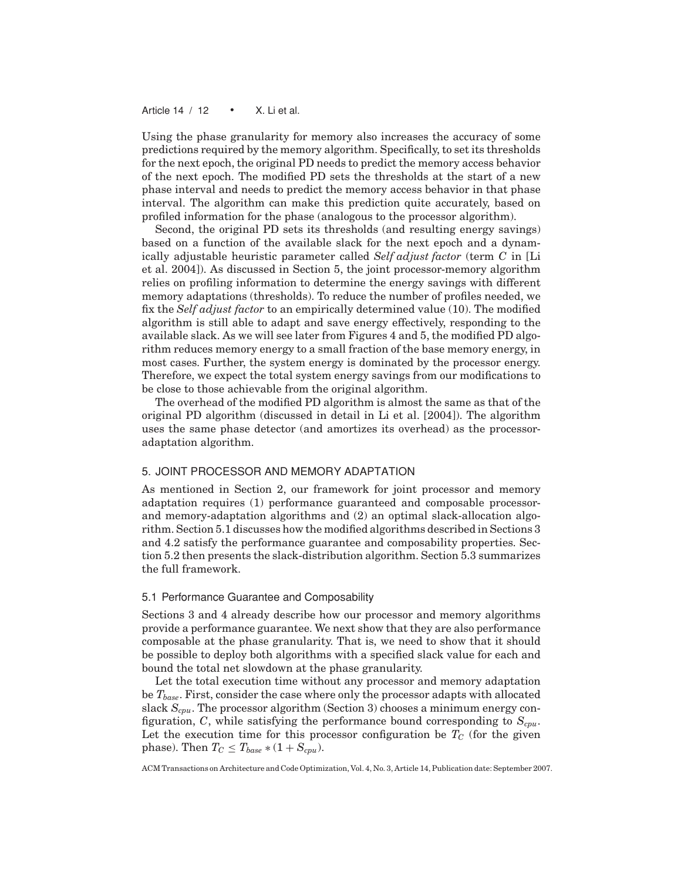## Article 14 / 12 • X. Li et al.

Using the phase granularity for memory also increases the accuracy of some predictions required by the memory algorithm. Specifically, to set its thresholds for the next epoch, the original PD needs to predict the memory access behavior of the next epoch. The modified PD sets the thresholds at the start of a new phase interval and needs to predict the memory access behavior in that phase interval. The algorithm can make this prediction quite accurately, based on profiled information for the phase (analogous to the processor algorithm).

Second, the original PD sets its thresholds (and resulting energy savings) based on a function of the available slack for the next epoch and a dynamically adjustable heuristic parameter called *Self adjust factor* (term *C* in [Li et al. 2004]). As discussed in Section 5, the joint processor-memory algorithm relies on profiling information to determine the energy savings with different memory adaptations (thresholds). To reduce the number of profiles needed, we fix the *Self adjust factor* to an empirically determined value (10). The modified algorithm is still able to adapt and save energy effectively, responding to the available slack. As we will see later from Figures 4 and 5, the modified PD algorithm reduces memory energy to a small fraction of the base memory energy, in most cases. Further, the system energy is dominated by the processor energy. Therefore, we expect the total system energy savings from our modifications to be close to those achievable from the original algorithm.

The overhead of the modified PD algorithm is almost the same as that of the original PD algorithm (discussed in detail in Li et al. [2004]). The algorithm uses the same phase detector (and amortizes its overhead) as the processoradaptation algorithm.

## 5. JOINT PROCESSOR AND MEMORY ADAPTATION

As mentioned in Section 2, our framework for joint processor and memory adaptation requires (1) performance guaranteed and composable processorand memory-adaptation algorithms and (2) an optimal slack-allocation algorithm. Section 5.1 discusses how the modified algorithms described in Sections 3 and 4.2 satisfy the performance guarantee and composability properties. Section 5.2 then presents the slack-distribution algorithm. Section 5.3 summarizes the full framework.

# 5.1 Performance Guarantee and Composability

Sections 3 and 4 already describe how our processor and memory algorithms provide a performance guarantee. We next show that they are also performance composable at the phase granularity. That is, we need to show that it should be possible to deploy both algorithms with a specified slack value for each and bound the total net slowdown at the phase granularity.

Let the total execution time without any processor and memory adaptation be *Tbase*. First, consider the case where only the processor adapts with allocated slack *Scpu*. The processor algorithm (Section 3) chooses a minimum energy configuration, *C*, while satisfying the performance bound corresponding to  $S_{\text{c}pu}$ . Let the execution time for this processor configuration be  $T_C$  (for the given phase). Then  $T_C \leq T_{base} * (1 + S_{cpu})$ .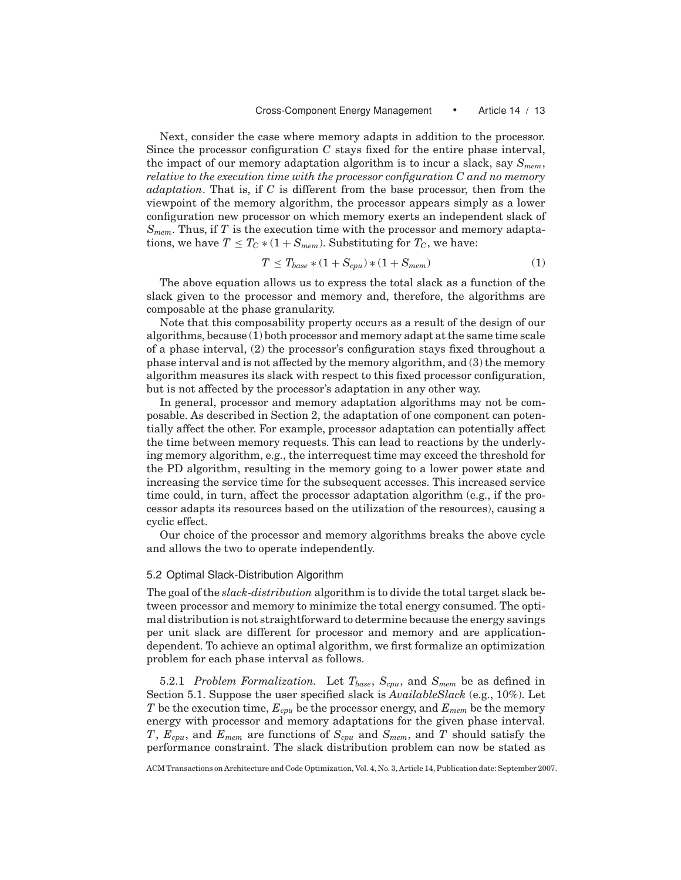Next, consider the case where memory adapts in addition to the processor. Since the processor configuration *C* stays fixed for the entire phase interval, the impact of our memory adaptation algorithm is to incur a slack, say *Smem*, *relative to the execution time with the processor configuration C and no memory adaptation*. That is, if *C* is different from the base processor, then from the viewpoint of the memory algorithm, the processor appears simply as a lower configuration new processor on which memory exerts an independent slack of *Smem*. Thus, if *T* is the execution time with the processor and memory adaptations, we have  $T \leq T_C * (1 + S_{mem})$ . Substituting for  $T_C$ , we have:

$$
T \le T_{base} * (1 + S_{cpu}) * (1 + S_{mem})
$$
\n
$$
(1)
$$

The above equation allows us to express the total slack as a function of the slack given to the processor and memory and, therefore, the algorithms are composable at the phase granularity.

Note that this composability property occurs as a result of the design of our algorithms, because (1) both processor and memory adapt at the same time scale of a phase interval, (2) the processor's configuration stays fixed throughout a phase interval and is not affected by the memory algorithm, and (3) the memory algorithm measures its slack with respect to this fixed processor configuration, but is not affected by the processor's adaptation in any other way.

In general, processor and memory adaptation algorithms may not be composable. As described in Section 2, the adaptation of one component can potentially affect the other. For example, processor adaptation can potentially affect the time between memory requests. This can lead to reactions by the underlying memory algorithm, e.g., the interrequest time may exceed the threshold for the PD algorithm, resulting in the memory going to a lower power state and increasing the service time for the subsequent accesses. This increased service time could, in turn, affect the processor adaptation algorithm (e.g., if the processor adapts its resources based on the utilization of the resources), causing a cyclic effect.

Our choice of the processor and memory algorithms breaks the above cycle and allows the two to operate independently.

# 5.2 Optimal Slack-Distribution Algorithm

The goal of the *slack-distribution* algorithm is to divide the total target slack between processor and memory to minimize the total energy consumed. The optimal distribution is not straightforward to determine because the energy savings per unit slack are different for processor and memory and are applicationdependent. To achieve an optimal algorithm, we first formalize an optimization problem for each phase interval as follows.

5.2.1 *Problem Formalization.* Let *Tbase*, *Scpu*, and *Smem* be as defined in Section 5.1. Suppose the user specified slack is *AvailableSlack* (e.g., 10%). Let *T* be the execution time,  $E_{cpu}$  be the processor energy, and  $E_{mem}$  be the memory energy with processor and memory adaptations for the given phase interval. *T*, *Ecpu*, and *Emem* are functions of *Scpu* and *Smem*, and *T* should satisfy the performance constraint. The slack distribution problem can now be stated as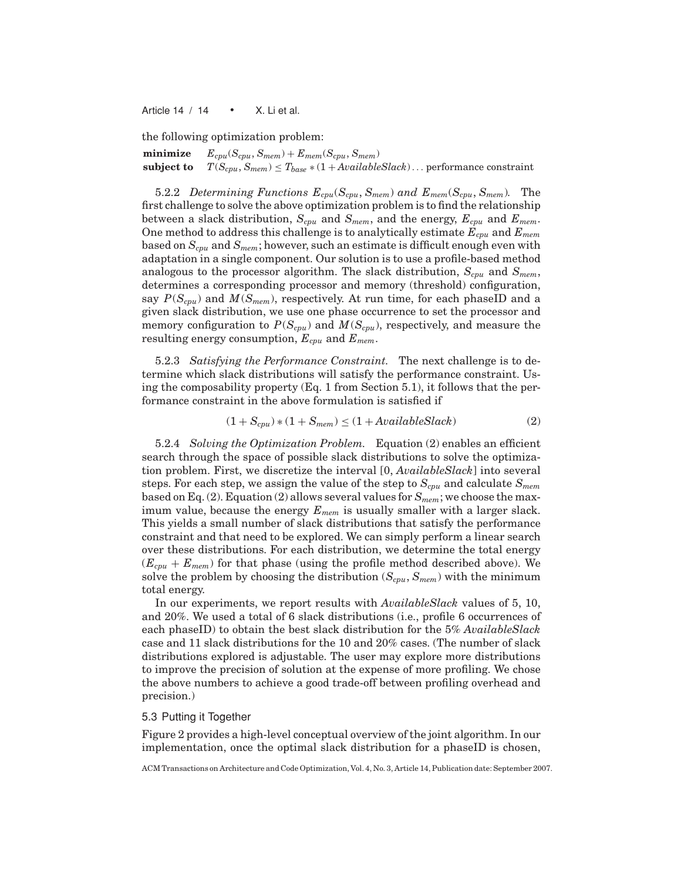Article 14 / 14 • X. Li et al.

the following optimization problem:

 $E_{cpu}(S_{cpu}, S_{mem}) + E_{mem}(S_{cpu}, S_{mem})$ **subject to**  $T(S_{cpu}, S_{mem}) \leq T_{base} * (1 + AvailableSlack) \dots$  performance constraint

5.2.2 *Determining Functions Ecpu*(*Scpu*, *Smem*) *and Emem*(*Scpu*, *Smem*)*.* The first challenge to solve the above optimization problem is to find the relationship between a slack distribution, *Scpu* and *Smem*, and the energy, *Ecpu* and *Emem*. One method to address this challenge is to analytically estimate *Ecpu* and *Emem* based on *Scpu* and *Smem*; however, such an estimate is difficult enough even with adaptation in a single component. Our solution is to use a profile-based method analogous to the processor algorithm. The slack distribution,  $S_{cpu}$  and  $S_{mem}$ , determines a corresponding processor and memory (threshold) configuration, say  $P(S_{cpu})$  and  $M(S_{mem})$ , respectively. At run time, for each phaseID and a given slack distribution, we use one phase occurrence to set the processor and memory configuration to  $P(S_{cpu})$  and  $M(S_{cpu})$ , respectively, and measure the resulting energy consumption, *Ecpu* and *Emem*.

5.2.3 *Satisfying the Performance Constraint.* The next challenge is to determine which slack distributions will satisfy the performance constraint. Using the composability property  $(Eq, 1$  from Section 5.1), it follows that the performance constraint in the above formulation is satisfied if

$$
(1 + S_{cpu}) * (1 + S_{mem}) \le (1 + AvailableSlack)
$$
\n(2)

5.2.4 *Solving the Optimization Problem.* Equation (2) enables an efficient search through the space of possible slack distributions to solve the optimization problem. First, we discretize the interval [0, *AvailableSlack*] into several steps. For each step, we assign the value of the step to *Scpu* and calculate *Smem* based on Eq. (2). Equation (2) allows several values for  $S_{mem}$ ; we choose the maximum value, because the energy  $E_{mem}$  is usually smaller with a larger slack. This yields a small number of slack distributions that satisfy the performance constraint and that need to be explored. We can simply perform a linear search over these distributions. For each distribution, we determine the total energy  $(E_{cpu} + E_{mem})$  for that phase (using the profile method described above). We solve the problem by choosing the distribution  $(S_{cpu}, S_{mem})$  with the minimum total energy.

In our experiments, we report results with *AvailableSlack* values of 5, 10, and 20%. We used a total of 6 slack distributions (i.e., profile 6 occurrences of each phaseID) to obtain the best slack distribution for the 5% *AvailableSlack* case and 11 slack distributions for the 10 and 20% cases. (The number of slack distributions explored is adjustable. The user may explore more distributions to improve the precision of solution at the expense of more profiling. We chose the above numbers to achieve a good trade-off between profiling overhead and precision.)

# 5.3 Putting it Together

Figure 2 provides a high-level conceptual overview of the joint algorithm. In our implementation, once the optimal slack distribution for a phaseID is chosen,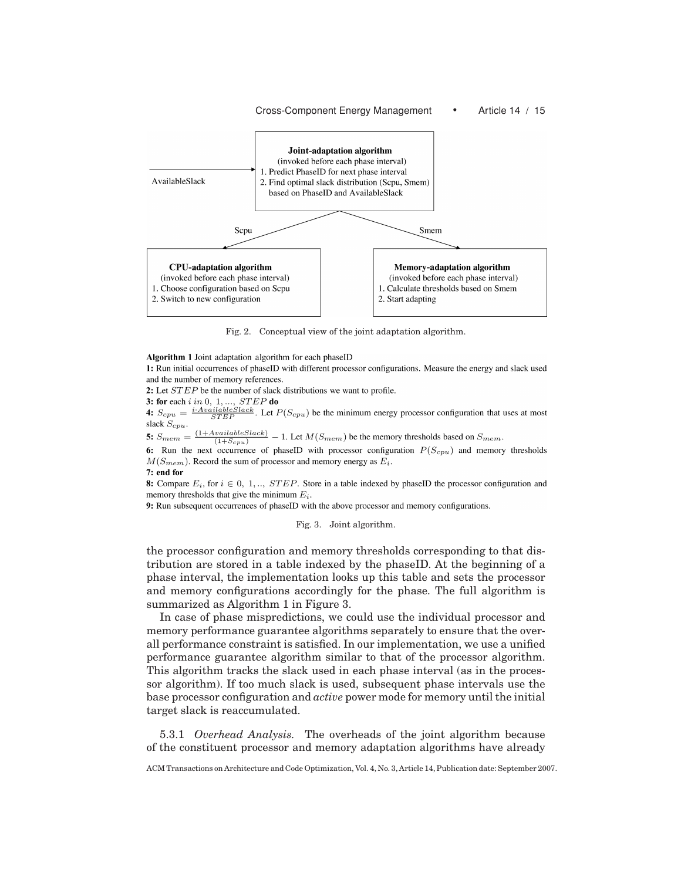

Fig. 2. Conceptual view of the joint adaptation algorithm.

#### Algorithm 1 Joint adaptation algorithm for each phaseID

1: Run initial occurrences of phaseID with different processor configurations. Measure the energy and slack used and the number of memory references.

2: Let  $STEP$  be the number of slack distributions we want to profile.

3: for each 
$$
i
$$
 in  $0, 1, ..., STEP$  do

4:  $S_{cpu} = \frac{i. Available Black}{STEP}$ . Let  $P(S_{cpu})$  be the minimum energy processor configuration that uses at most slack  $S_{cpu}$ .

5:  $S_{mem} = \frac{(1+AvailableBlack)}{(1+S)}$  - 1. Let  $M(S_{mem})$  be the memory thresholds based on  $S_{mem}$ .  $(1+S_{cpu})$ 

6: Run the next occurrence of phaseID with processor configuration  $P(S_{cpu})$  and memory thresholds  $M(S_{mem})$ . Record the sum of processor and memory energy as  $E_i$ .

7: end for

8: Compare  $E_i$ , for  $i \in 0, 1, \ldots$ , STEP. Store in a table indexed by phaseID the processor configuration and memory thresholds that give the minimum  $E_i$ .

9: Run subsequent occurrences of phaseID with the above processor and memory configurations.

#### Fig. 3. Joint algorithm.

the processor configuration and memory thresholds corresponding to that distribution are stored in a table indexed by the phaseID. At the beginning of a phase interval, the implementation looks up this table and sets the processor and memory configurations accordingly for the phase. The full algorithm is summarized as Algorithm 1 in Figure 3.

In case of phase mispredictions, we could use the individual processor and memory performance guarantee algorithms separately to ensure that the overall performance constraint is satisfied. In our implementation, we use a unified performance guarantee algorithm similar to that of the processor algorithm. This algorithm tracks the slack used in each phase interval (as in the processor algorithm). If too much slack is used, subsequent phase intervals use the base processor configuration and *active* power mode for memory until the initial target slack is reaccumulated.

5.3.1 *Overhead Analysis.* The overheads of the joint algorithm because of the constituent processor and memory adaptation algorithms have already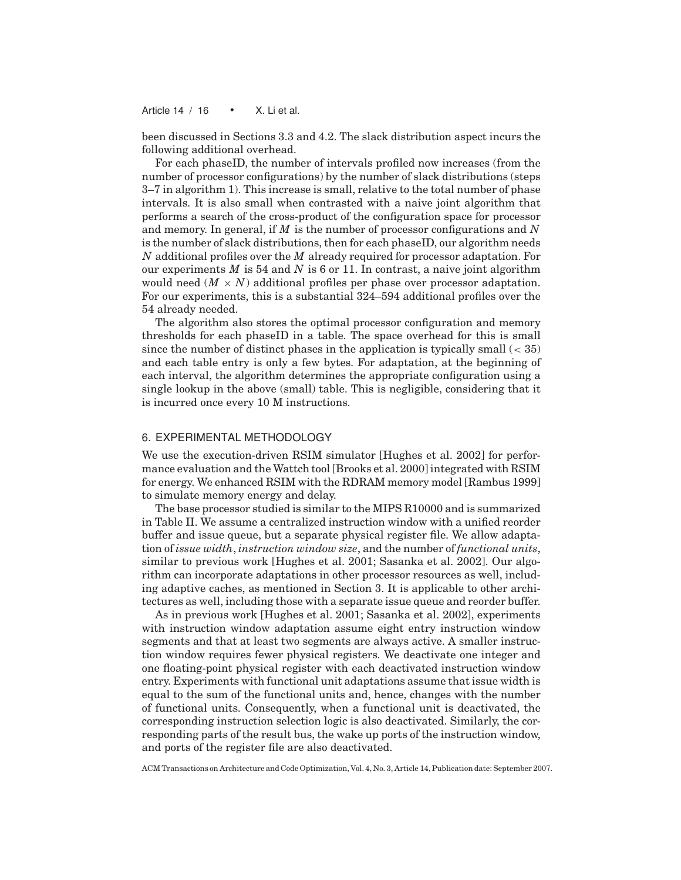Article 14 / 16 • X. Li et al.

been discussed in Sections 3.3 and 4.2. The slack distribution aspect incurs the following additional overhead.

For each phaseID, the number of intervals profiled now increases (from the number of processor configurations) by the number of slack distributions (steps 3–7 in algorithm 1). This increase is small, relative to the total number of phase intervals. It is also small when contrasted with a naive joint algorithm that performs a search of the cross-product of the configuration space for processor and memory. In general, if *M* is the number of processor configurations and *N* is the number of slack distributions, then for each phaseID, our algorithm needs *N* additional profiles over the *M* already required for processor adaptation. For our experiments *M* is 54 and *N* is 6 or 11. In contrast, a naive joint algorithm would need  $(M \times N)$  additional profiles per phase over processor adaptation. For our experiments, this is a substantial 324–594 additional profiles over the 54 already needed.

The algorithm also stores the optimal processor configuration and memory thresholds for each phaseID in a table. The space overhead for this is small since the number of distinct phases in the application is typically small  $\left( < 35 \right)$ and each table entry is only a few bytes. For adaptation, at the beginning of each interval, the algorithm determines the appropriate configuration using a single lookup in the above (small) table. This is negligible, considering that it is incurred once every 10 M instructions.

# 6. EXPERIMENTAL METHODOLOGY

We use the execution-driven RSIM simulator [Hughes et al. 2002] for performance evaluation and the Wattch tool [Brooks et al. 2000] integrated with RSIM for energy. We enhanced RSIM with the RDRAM memory model [Rambus 1999] to simulate memory energy and delay.

The base processor studied is similar to the MIPS R10000 and is summarized in Table II. We assume a centralized instruction window with a unified reorder buffer and issue queue, but a separate physical register file. We allow adaptation of *issue width*, *instruction window size*, and the number of *functional units*, similar to previous work [Hughes et al. 2001; Sasanka et al. 2002]. Our algorithm can incorporate adaptations in other processor resources as well, including adaptive caches, as mentioned in Section 3. It is applicable to other architectures as well, including those with a separate issue queue and reorder buffer.

As in previous work [Hughes et al. 2001; Sasanka et al. 2002], experiments with instruction window adaptation assume eight entry instruction window segments and that at least two segments are always active. A smaller instruction window requires fewer physical registers. We deactivate one integer and one floating-point physical register with each deactivated instruction window entry. Experiments with functional unit adaptations assume that issue width is equal to the sum of the functional units and, hence, changes with the number of functional units. Consequently, when a functional unit is deactivated, the corresponding instruction selection logic is also deactivated. Similarly, the corresponding parts of the result bus, the wake up ports of the instruction window, and ports of the register file are also deactivated.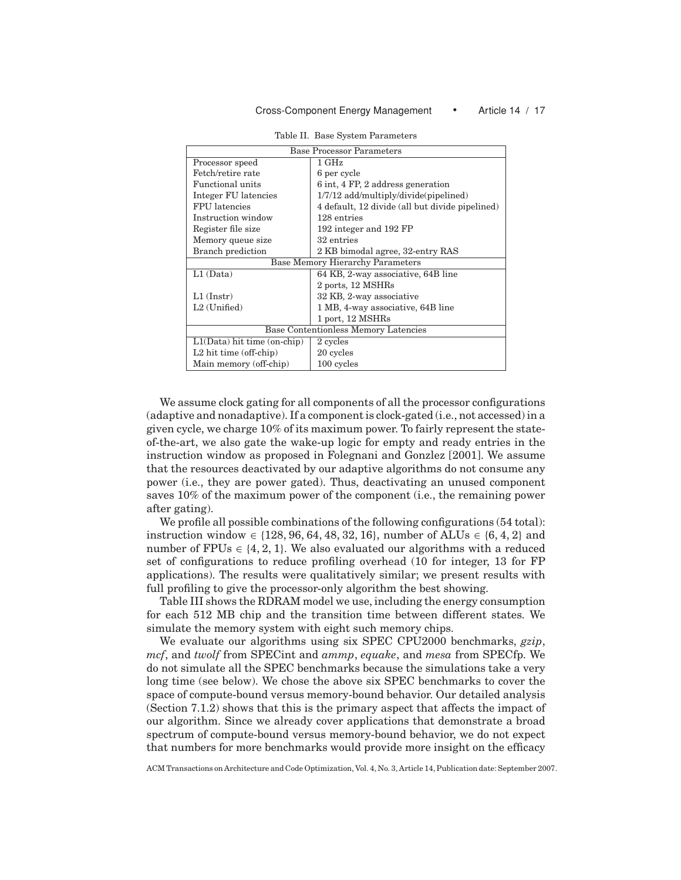## Cross-Component Energy Management • Article 14 / 17

|                               | <b>Base Processor Parameters</b>                |  |  |  |  |  |  |
|-------------------------------|-------------------------------------------------|--|--|--|--|--|--|
| Processor speed               | 1 GHz                                           |  |  |  |  |  |  |
| Fetch/retire rate             | 6 per cycle                                     |  |  |  |  |  |  |
| Functional units              | 6 int, 4 FP, 2 address generation               |  |  |  |  |  |  |
| Integer FU latencies          | $1/7/12$ add/multiply/divide(pipelined)         |  |  |  |  |  |  |
| <b>FPU</b> latencies          | 4 default, 12 divide (all but divide pipelined) |  |  |  |  |  |  |
| <b>Instruction</b> window     | 128 entries                                     |  |  |  |  |  |  |
| Register file size            | 192 integer and 192 FP                          |  |  |  |  |  |  |
| Memory queue size             | 32 entries                                      |  |  |  |  |  |  |
| Branch prediction             | 2 KB bimodal agree, 32-entry RAS                |  |  |  |  |  |  |
|                               | <b>Base Memory Hierarchy Parameters</b>         |  |  |  |  |  |  |
| $L1$ (Data)                   | 64 KB, 2-way associative, 64B line              |  |  |  |  |  |  |
|                               | 2 ports, 12 MSHRs                               |  |  |  |  |  |  |
| $L1$ (Instr)                  | 32 KB, 2-way associative                        |  |  |  |  |  |  |
| L <sub>2</sub> (Unified)      | 1 MB, 4-way associative, 64B line               |  |  |  |  |  |  |
|                               | 1 port, 12 MSHRs                                |  |  |  |  |  |  |
|                               | <b>Base Contentionless Memory Latencies</b>     |  |  |  |  |  |  |
| $L1(Data)$ hit time (on-chip) | 2 cycles                                        |  |  |  |  |  |  |
| $L2$ hit time (off-chip)      | 20 cycles                                       |  |  |  |  |  |  |
| Main memory (off-chip)        | 100 cycles                                      |  |  |  |  |  |  |

Table II. Base System Parameters

We assume clock gating for all components of all the processor configurations (adaptive and nonadaptive). If a component is clock-gated (i.e., not accessed) in a given cycle, we charge 10% of its maximum power. To fairly represent the stateof-the-art, we also gate the wake-up logic for empty and ready entries in the instruction window as proposed in Folegnani and Gonzlez [2001]. We assume that the resources deactivated by our adaptive algorithms do not consume any power (i.e., they are power gated). Thus, deactivating an unused component saves 10% of the maximum power of the component (i.e., the remaining power after gating).

We profile all possible combinations of the following configurations  $(54 \text{ total})$ : instruction window ∈ {128, 96, 64, 48, 32, 16}, number of ALUs ∈ {6, 4, 2} and number of FPUs  $\in \{4, 2, 1\}$ . We also evaluated our algorithms with a reduced set of configurations to reduce profiling overhead (10 for integer, 13 for FP applications). The results were qualitatively similar; we present results with full profiling to give the processor-only algorithm the best showing.

Table III shows the RDRAM model we use, including the energy consumption for each 512 MB chip and the transition time between different states. We simulate the memory system with eight such memory chips.

We evaluate our algorithms using six SPEC CPU2000 benchmarks, *gzip*, *mcf*, and *twolf* from SPECint and *ammp*, *equake*, and *mesa* from SPECfp. We do not simulate all the SPEC benchmarks because the simulations take a very long time (see below). We chose the above six SPEC benchmarks to cover the space of compute-bound versus memory-bound behavior. Our detailed analysis (Section 7.1.2) shows that this is the primary aspect that affects the impact of our algorithm. Since we already cover applications that demonstrate a broad spectrum of compute-bound versus memory-bound behavior, we do not expect that numbers for more benchmarks would provide more insight on the efficacy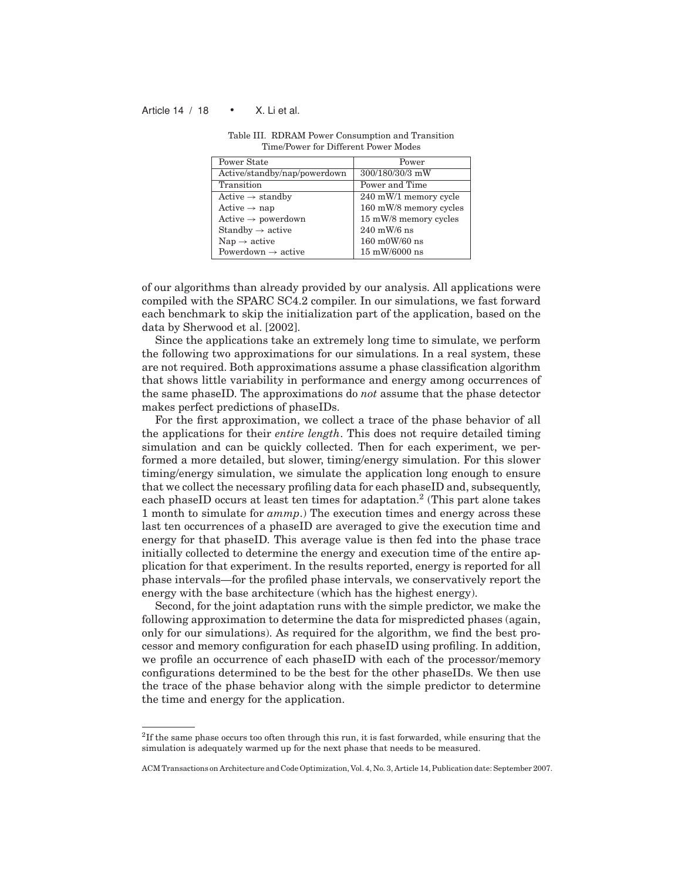## Article 14 / 18 • X. Li et al.

| Power State                    | Power                  |
|--------------------------------|------------------------|
| Active/standby/nap/powerdown   | 300/180/30/3 mW        |
| Transition                     | Power and Time         |
| $Active \rightarrow standby$   | 240 mW/1 memory cycle  |
| Active $\rightarrow$ nap       | 160 mW/8 memory cycles |
| $Active \rightarrow powerdown$ | 15 mW/8 memory cycles  |
| Standby $\rightarrow$ active   | $240$ mW/6 ns          |
| $Nap \rightarrow active$       | $160$ m $0W/60$ ns     |
| Powerdown $\rightarrow$ active | $15$ mW/6000 ns        |

Table III. RDRAM Power Consumption and Transition Time/Power for Different Power Modes

of our algorithms than already provided by our analysis. All applications were compiled with the SPARC SC4.2 compiler. In our simulations, we fast forward each benchmark to skip the initialization part of the application, based on the data by Sherwood et al. [2002].

Since the applications take an extremely long time to simulate, we perform the following two approximations for our simulations. In a real system, these are not required. Both approximations assume a phase classification algorithm that shows little variability in performance and energy among occurrences of the same phaseID. The approximations do *not* assume that the phase detector makes perfect predictions of phaseIDs.

For the first approximation, we collect a trace of the phase behavior of all the applications for their *entire length*. This does not require detailed timing simulation and can be quickly collected. Then for each experiment, we performed a more detailed, but slower, timing/energy simulation. For this slower timing/energy simulation, we simulate the application long enough to ensure that we collect the necessary profiling data for each phaseID and, subsequently, each phaseID occurs at least ten times for adaptation.<sup>2</sup> (This part alone takes 1 month to simulate for *ammp*.) The execution times and energy across these last ten occurrences of a phaseID are averaged to give the execution time and energy for that phaseID. This average value is then fed into the phase trace initially collected to determine the energy and execution time of the entire application for that experiment. In the results reported, energy is reported for all phase intervals—for the profiled phase intervals, we conservatively report the energy with the base architecture (which has the highest energy).

Second, for the joint adaptation runs with the simple predictor, we make the following approximation to determine the data for mispredicted phases (again, only for our simulations). As required for the algorithm, we find the best processor and memory configuration for each phaseID using profiling. In addition, we profile an occurrence of each phaseID with each of the processor/memory configurations determined to be the best for the other phaseIDs. We then use the trace of the phase behavior along with the simple predictor to determine the time and energy for the application.

 $2$ If the same phase occurs too often through this run, it is fast forwarded, while ensuring that the simulation is adequately warmed up for the next phase that needs to be measured.

ACM Transactions on Architecture and Code Optimization, Vol. 4, No. 3, Article 14, Publication date: September 2007.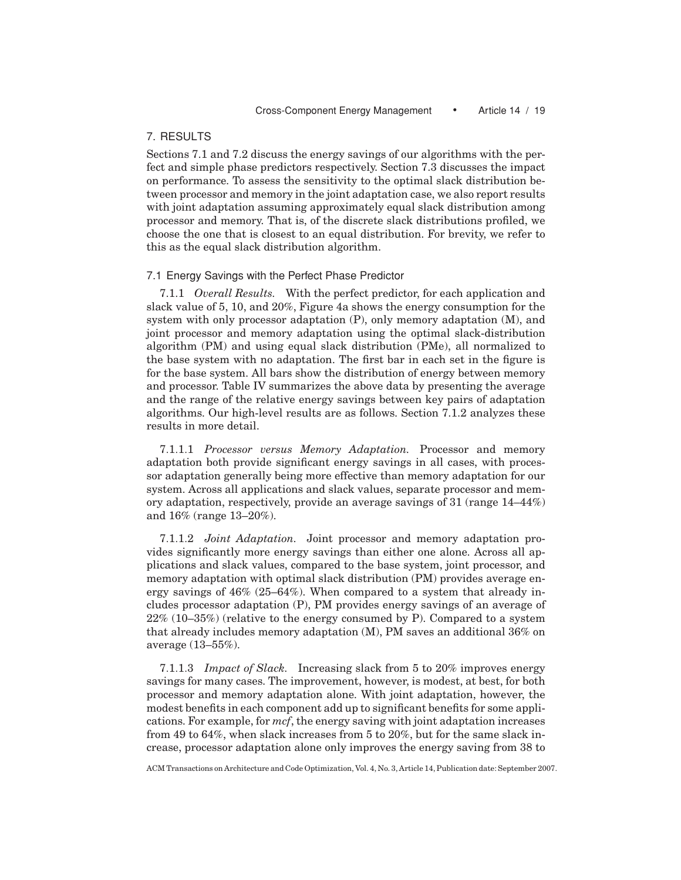# 7. RESULTS

Sections 7.1 and 7.2 discuss the energy savings of our algorithms with the perfect and simple phase predictors respectively. Section 7.3 discusses the impact on performance. To assess the sensitivity to the optimal slack distribution between processor and memory in the joint adaptation case, we also report results with joint adaptation assuming approximately equal slack distribution among processor and memory. That is, of the discrete slack distributions profiled, we choose the one that is closest to an equal distribution. For brevity, we refer to this as the equal slack distribution algorithm.

# 7.1 Energy Savings with the Perfect Phase Predictor

7.1.1 *Overall Results.* With the perfect predictor, for each application and slack value of 5, 10, and 20%, Figure 4a shows the energy consumption for the system with only processor adaptation (P), only memory adaptation (M), and joint processor and memory adaptation using the optimal slack-distribution algorithm (PM) and using equal slack distribution (PMe), all normalized to the base system with no adaptation. The first bar in each set in the figure is for the base system. All bars show the distribution of energy between memory and processor. Table IV summarizes the above data by presenting the average and the range of the relative energy savings between key pairs of adaptation algorithms. Our high-level results are as follows. Section 7.1.2 analyzes these results in more detail.

7.1.1.1 *Processor versus Memory Adaptation.* Processor and memory adaptation both provide significant energy savings in all cases, with processor adaptation generally being more effective than memory adaptation for our system. Across all applications and slack values, separate processor and memory adaptation, respectively, provide an average savings of 31 (range 14–44%) and 16% (range 13–20%).

7.1.1.2 *Joint Adaptation.* Joint processor and memory adaptation provides significantly more energy savings than either one alone. Across all applications and slack values, compared to the base system, joint processor, and memory adaptation with optimal slack distribution (PM) provides average energy savings of 46% (25–64%). When compared to a system that already includes processor adaptation (P), PM provides energy savings of an average of  $22\%$  (10–35%) (relative to the energy consumed by P). Compared to a system that already includes memory adaptation (M), PM saves an additional 36% on average (13–55%).

7.1.1.3 *Impact of Slack.* Increasing slack from 5 to 20% improves energy savings for many cases. The improvement, however, is modest, at best, for both processor and memory adaptation alone. With joint adaptation, however, the modest benefits in each component add up to significant benefits for some applications. For example, for *mcf*, the energy saving with joint adaptation increases from 49 to 64%, when slack increases from 5 to 20%, but for the same slack increase, processor adaptation alone only improves the energy saving from 38 to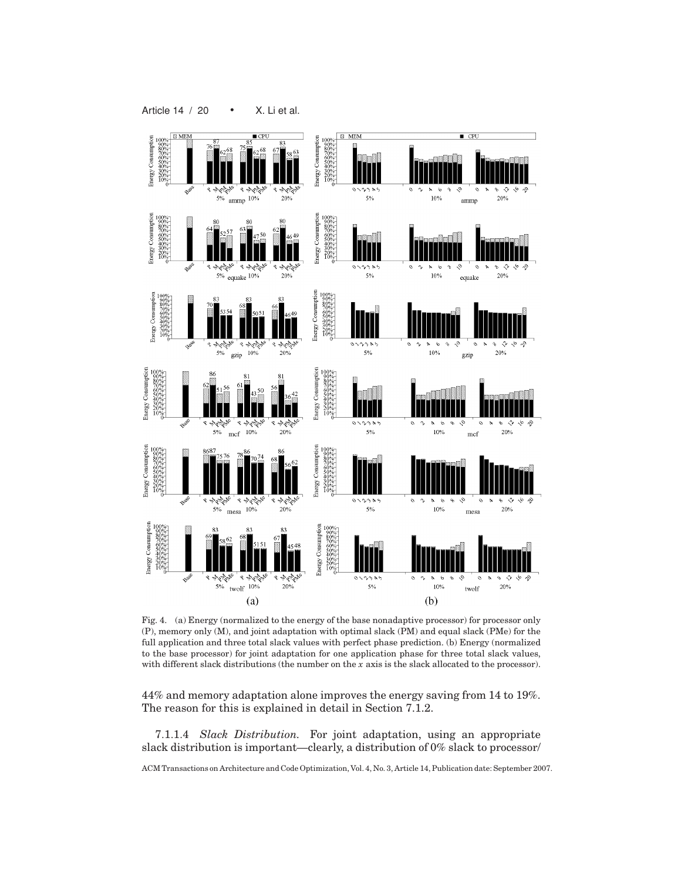

Fig. 4. (a) Energy (normalized to the energy of the base nonadaptive processor) for processor only (P), memory only (M), and joint adaptation with optimal slack (PM) and equal slack (PMe) for the full application and three total slack values with perfect phase prediction. (b) Energy (normalized to the base processor) for joint adaptation for one application phase for three total slack values, with different slack distributions (the number on the *x* axis is the slack allocated to the processor).

44% and memory adaptation alone improves the energy saving from 14 to 19%. The reason for this is explained in detail in Section 7.1.2.

7.1.1.4 *Slack Distribution.* For joint adaptation, using an appropriate slack distribution is important—clearly, a distribution of 0% slack to processor/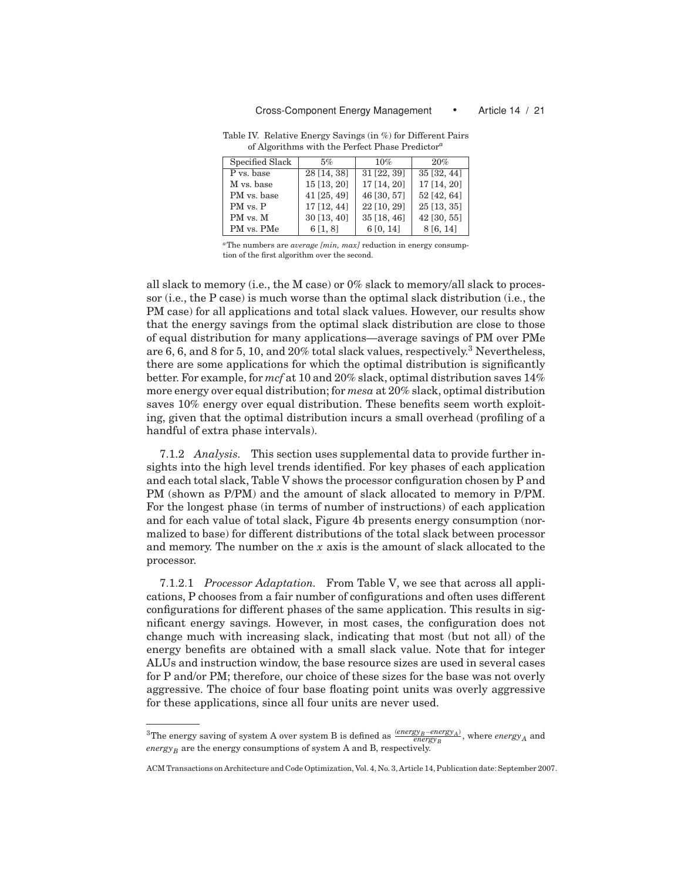| Specified Slack | 5%            | 10%           | 20%               |
|-----------------|---------------|---------------|-------------------|
| P vs. base      | 28 [14, 38]   | $31$ [22, 39] | $35$ [ $32, 44$ ] |
| M vs. base      | $15$ [13, 20] | 17 [14, 20]   | 17 [14, 20]       |
| PM vs. base     | 41 [25, 49]   | 46 [30, 57]   | 52 [42, 64]       |
| PM vs. P        | 17 [12, 44]   | 22 [10, 29]   | $25$ [13, 35]     |
| PM vs. M        | $30$ [13, 40] | $35$ [18, 46] | 42 [30, 55]       |
| PM vs. PMe      | 6 [1, 8]      | 6[0, 14]      | 8[6, 14]          |

Table IV. Relative Energy Savings (in %) for Different Pairs of Algorithms with the Perfect Phase Predictor*<sup>a</sup>*

<sup>a</sup>The numbers are *average [min, max]* reduction in energy consumption of the first algorithm over the second.

all slack to memory (i.e., the M case) or 0% slack to memory/all slack to processor (i.e., the P case) is much worse than the optimal slack distribution (i.e., the PM case) for all applications and total slack values. However, our results show that the energy savings from the optimal slack distribution are close to those of equal distribution for many applications—average savings of PM over PMe are 6, 6, and 8 for 5, 10, and 20% total slack values, respectively.<sup>3</sup> Nevertheless, there are some applications for which the optimal distribution is significantly better. For example, for *mcf* at 10 and 20% slack, optimal distribution saves 14% more energy over equal distribution; for *mesa* at 20% slack, optimal distribution saves 10% energy over equal distribution. These benefits seem worth exploiting, given that the optimal distribution incurs a small overhead (profiling of a handful of extra phase intervals).

7.1.2 *Analysis.* This section uses supplemental data to provide further insights into the high level trends identified. For key phases of each application and each total slack, Table V shows the processor configuration chosen by P and PM (shown as P/PM) and the amount of slack allocated to memory in P/PM. For the longest phase (in terms of number of instructions) of each application and for each value of total slack, Figure 4b presents energy consumption (normalized to base) for different distributions of the total slack between processor and memory. The number on the *x* axis is the amount of slack allocated to the processor.

7.1.2.1 *Processor Adaptation.* From Table V, we see that across all applications, P chooses from a fair number of configurations and often uses different configurations for different phases of the same application. This results in significant energy savings. However, in most cases, the configuration does not change much with increasing slack, indicating that most (but not all) of the energy benefits are obtained with a small slack value. Note that for integer ALUs and instruction window, the base resource sizes are used in several cases for P and/or PM; therefore, our choice of these sizes for the base was not overly aggressive. The choice of four base floating point units was overly aggressive for these applications, since all four units are never used.

<sup>&</sup>lt;sup>3</sup>The energy saving of system A over system B is defined as  $\frac{\langle energy_B - energy_A\rangle}{energy_B}$ , where  $energy_A$  and *energy<sub>B</sub>* are the energy consumptions of system A and B, respectively.

ACM Transactions on Architecture and Code Optimization, Vol. 4, No. 3, Article 14, Publication date: September 2007.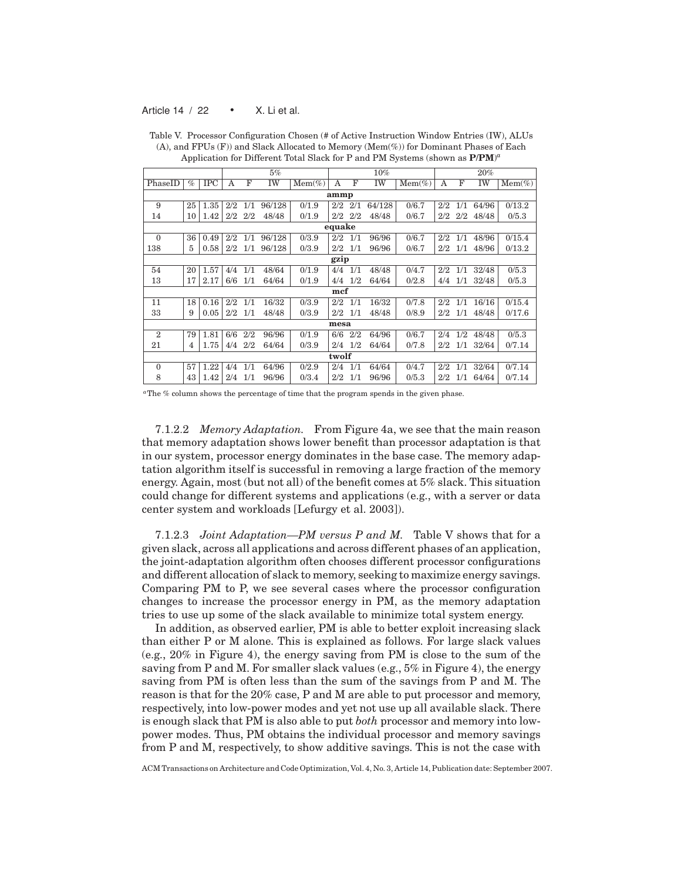## Article 14 / 22 • X. Li et al.

| 20%            |      |            |     |     |        |           |       |     |        |           |      |     |       |           |
|----------------|------|------------|-----|-----|--------|-----------|-------|-----|--------|-----------|------|-----|-------|-----------|
|                |      |            |     |     | 5%     |           |       |     | $10\%$ |           |      |     |       |           |
| PhaseID        | $\%$ | <b>IPC</b> | A   | F   | IW     | $Mem(\%)$ | A     | F   | IW     | $Mem(\%)$ | A    | F   | IW    | $Mem(\%)$ |
|                |      |            |     |     |        |           | ammp  |     |        |           |      |     |       |           |
| 9              | 25   | 1.35       | 2/2 | 1/1 | 96/128 | 0/1.9     | 2/2   | 2/1 | 64/128 | 0/6.7     | 2/2. | 1/1 | 64/96 | 0/13.2    |
| 14             | 10   | 1.42       | 2/2 | 2/2 | 48/48  | 0/1.9     | 2/2   | 2/2 | 48/48  | 0/6.7     | 2/2  | 2/2 | 48/48 | 0/5.3     |
| equake         |      |            |     |     |        |           |       |     |        |           |      |     |       |           |
| $\theta$       | 36   | 0.49       | 2/2 | 1/1 | 96/128 | 0/3.9     | 2/2   | 1/1 | 96/96  | 0/6.7     | 2/2  | 1/1 | 48/96 | 0/15.4    |
| 138            | 5    | 0.58       | 2/2 | 1/1 | 96/128 | 0/3.9     | 2/2   | 1/1 | 96/96  | 0/6.7     | 2/2  | 1/1 | 48/96 | 0/13.2    |
| gzip           |      |            |     |     |        |           |       |     |        |           |      |     |       |           |
| 54             | 20   | 1.57       | 4/4 | 1/1 | 48/64  | 0/1.9     | 4/4   | 1/1 | 48/48  | 0/4.7     | 2/2  | 1/1 | 32/48 | 0/5.3     |
| 13             | 17   | 2.17       | 6/6 | 1/1 | 64/64  | 0/1.9     | 4/4   | 1/2 | 64/64  | 0/2.8     | 4/4  | 1/1 | 32/48 | 0/5.3     |
|                |      |            |     |     |        |           | mcf   |     |        |           |      |     |       |           |
| 11             | 18   | 0.16       | 2/2 | 1/1 | 16/32  | 0/3.9     | 2/2   | 1/1 | 16/32  | 0/7.8     | 2/2  | 1/1 | 16/16 | 0/15.4    |
| 33             | 9    | 0.05       | 2/2 | 1/1 | 48/48  | 0/3.9     | 2/2   | 1/1 | 48/48  | 0/8.9     | 2/2  | 1/1 | 48/48 | 0/17.6    |
|                |      |            |     |     |        |           | mesa  |     |        |           |      |     |       |           |
| $\overline{2}$ | 79   | 1.81       | 6/6 | 2/2 | 96/96  | 0/1.9     | 6/6   | 2/2 | 64/96  | 0/6.7     | 2/4  | 1/2 | 48/48 | 0/5.3     |
| 21             | 4    | 1.75       | 4/4 | 2/2 | 64/64  | 0/3.9     | 2/4   | 1/2 | 64/64  | 0/7.8     | 2/2  | 1/1 | 32/64 | 0/7.14    |
|                |      |            |     |     |        |           | twolf |     |        |           |      |     |       |           |
| $\theta$       | 57   | 1.22       | 4/4 | 1/1 | 64/96  | 0/2.9     | 2/4   | 1/1 | 64/64  | 0/4.7     | 2/2  | 1/1 | 32/64 | 0/7.14    |
| 8              | 43   | 1.42       | 2/4 | 1/1 | 96/96  | 0/3.4     | 2/2   | 1/1 | 96/96  | 0/5.3     | 2/2  | 1/1 | 64/64 | 0/7.14    |

Table V. Processor Configuration Chosen (# of Active Instruction Window Entries (IW), ALUs (A), and FPUs (F)) and Slack Allocated to Memory (Mem(%)) for Dominant Phases of Each Application for Different Total Slack for P and PM Systems (shown as **P/PM**) *a*

*<sup>a</sup>*The % column shows the percentage of time that the program spends in the given phase.

7.1.2.2 *Memory Adaptation.* From Figure 4a, we see that the main reason that memory adaptation shows lower benefit than processor adaptation is that in our system, processor energy dominates in the base case. The memory adaptation algorithm itself is successful in removing a large fraction of the memory energy. Again, most (but not all) of the benefit comes at 5% slack. This situation could change for different systems and applications (e.g., with a server or data center system and workloads [Lefurgy et al. 2003]).

7.1.2.3 *Joint Adaptation—PM versus P and M.* Table V shows that for a given slack, across all applications and across different phases of an application, the joint-adaptation algorithm often chooses different processor configurations and different allocation of slack to memory, seeking to maximize energy savings. Comparing PM to P, we see several cases where the processor configuration changes to increase the processor energy in PM, as the memory adaptation tries to use up some of the slack available to minimize total system energy.

In addition, as observed earlier, PM is able to better exploit increasing slack than either P or M alone. This is explained as follows. For large slack values (e.g., 20% in Figure 4), the energy saving from PM is close to the sum of the saving from P and M. For smaller slack values (e.g., 5% in Figure 4), the energy saving from PM is often less than the sum of the savings from P and M. The reason is that for the 20% case, P and M are able to put processor and memory, respectively, into low-power modes and yet not use up all available slack. There is enough slack that PM is also able to put *both* processor and memory into lowpower modes. Thus, PM obtains the individual processor and memory savings from P and M, respectively, to show additive savings. This is not the case with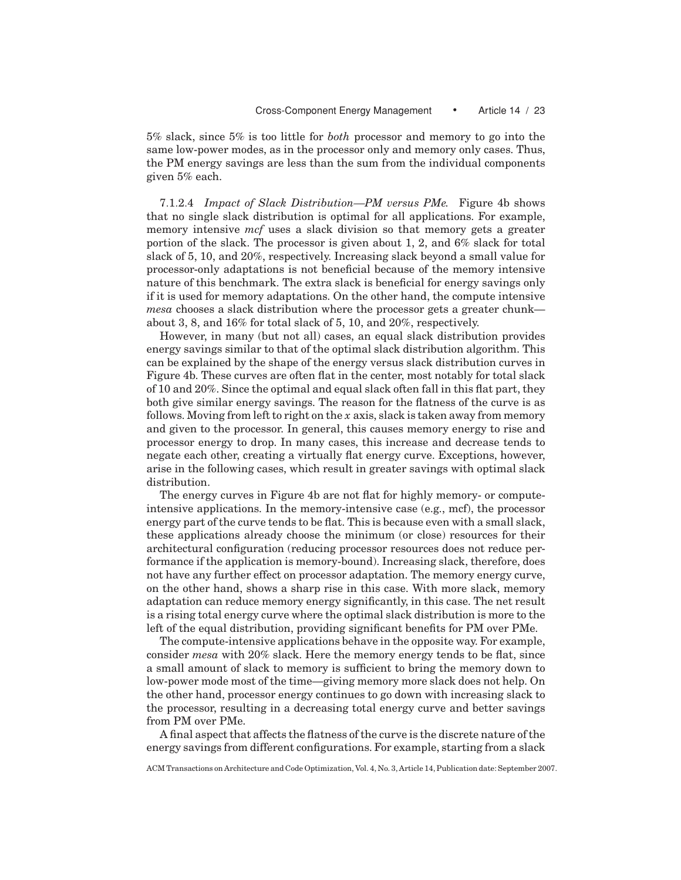5% slack, since 5% is too little for *both* processor and memory to go into the same low-power modes, as in the processor only and memory only cases. Thus, the PM energy savings are less than the sum from the individual components given 5% each.

7.1.2.4 *Impact of Slack Distribution—PM versus PMe.* Figure 4b shows that no single slack distribution is optimal for all applications. For example, memory intensive *mcf* uses a slack division so that memory gets a greater portion of the slack. The processor is given about 1, 2, and 6% slack for total slack of 5, 10, and 20%, respectively. Increasing slack beyond a small value for processor-only adaptations is not beneficial because of the memory intensive nature of this benchmark. The extra slack is beneficial for energy savings only if it is used for memory adaptations. On the other hand, the compute intensive *mesa* chooses a slack distribution where the processor gets a greater chunk about 3, 8, and 16% for total slack of 5, 10, and 20%, respectively.

However, in many (but not all) cases, an equal slack distribution provides energy savings similar to that of the optimal slack distribution algorithm. This can be explained by the shape of the energy versus slack distribution curves in Figure 4b. These curves are often flat in the center, most notably for total slack of 10 and 20%. Since the optimal and equal slack often fall in this flat part, they both give similar energy savings. The reason for the flatness of the curve is as follows. Moving from left to right on the *x* axis, slack is taken away from memory and given to the processor. In general, this causes memory energy to rise and processor energy to drop. In many cases, this increase and decrease tends to negate each other, creating a virtually flat energy curve. Exceptions, however, arise in the following cases, which result in greater savings with optimal slack distribution.

The energy curves in Figure 4b are not flat for highly memory- or computeintensive applications. In the memory-intensive case (e.g., mcf), the processor energy part of the curve tends to be flat. This is because even with a small slack, these applications already choose the minimum (or close) resources for their architectural configuration (reducing processor resources does not reduce performance if the application is memory-bound). Increasing slack, therefore, does not have any further effect on processor adaptation. The memory energy curve, on the other hand, shows a sharp rise in this case. With more slack, memory adaptation can reduce memory energy significantly, in this case. The net result is a rising total energy curve where the optimal slack distribution is more to the left of the equal distribution, providing significant benefits for PM over PMe.

The compute-intensive applications behave in the opposite way. For example, consider *mesa* with 20% slack. Here the memory energy tends to be flat, since a small amount of slack to memory is sufficient to bring the memory down to low-power mode most of the time—giving memory more slack does not help. On the other hand, processor energy continues to go down with increasing slack to the processor, resulting in a decreasing total energy curve and better savings from PM over PMe.

A final aspect that affects the flatness of the curve is the discrete nature of the energy savings from different configurations. For example, starting from a slack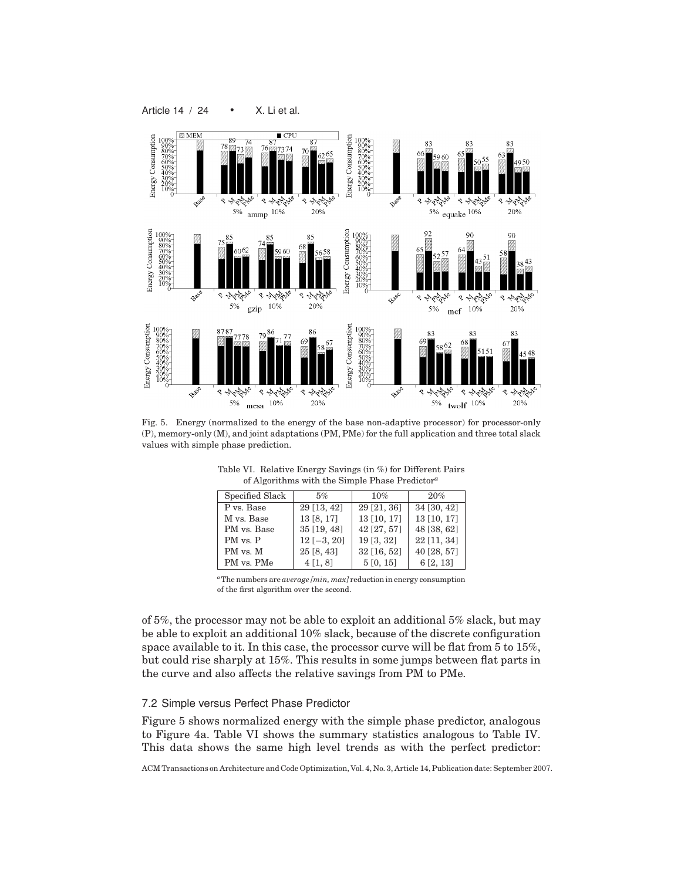



Fig. 5. Energy (normalized to the energy of the base non-adaptive processor) for processor-only (P), memory-only (M), and joint adaptations (PM, PMe) for the full application and three total slack values with simple phase prediction.

| Specified Slack | $5\%$        | 10%          | 20%         |
|-----------------|--------------|--------------|-------------|
| P vs. Base      | 29 [13, 42]  | 29 [21, 36]  | 34 [30, 42] |
| M vs. Base      | 13 [8, 17]   | 13 [10, 17]  | 13 [10, 17] |
| PM vs. Base     | 35 [19, 48]  | 42 [27, 57]  | 48 [38, 62] |
| PM vs. P        | $12[-3, 20]$ | 19 [3, 32]   | 22 [11, 34] |
| PM vs. M        | 25 [8, 43]   | 32 [16, 52]  | 40 [28, 57] |
| PM vs. PMe      | 4[1, 8]      | $5\,[0, 15]$ | 6[2, 13]    |

Table VI. Relative Energy Savings (in %) for Different Pairs of Algorithms with the Simple Phase Predictor*<sup>a</sup>*

*<sup>a</sup>*The numbers are *average [min, max]* reduction in energy consumption of the first algorithm over the second.

of 5%, the processor may not be able to exploit an additional 5% slack, but may be able to exploit an additional 10% slack, because of the discrete configuration space available to it. In this case, the processor curve will be flat from 5 to 15%, but could rise sharply at 15%. This results in some jumps between flat parts in the curve and also affects the relative savings from PM to PMe.

# 7.2 Simple versus Perfect Phase Predictor

Figure 5 shows normalized energy with the simple phase predictor, analogous to Figure 4a. Table VI shows the summary statistics analogous to Table IV. This data shows the same high level trends as with the perfect predictor: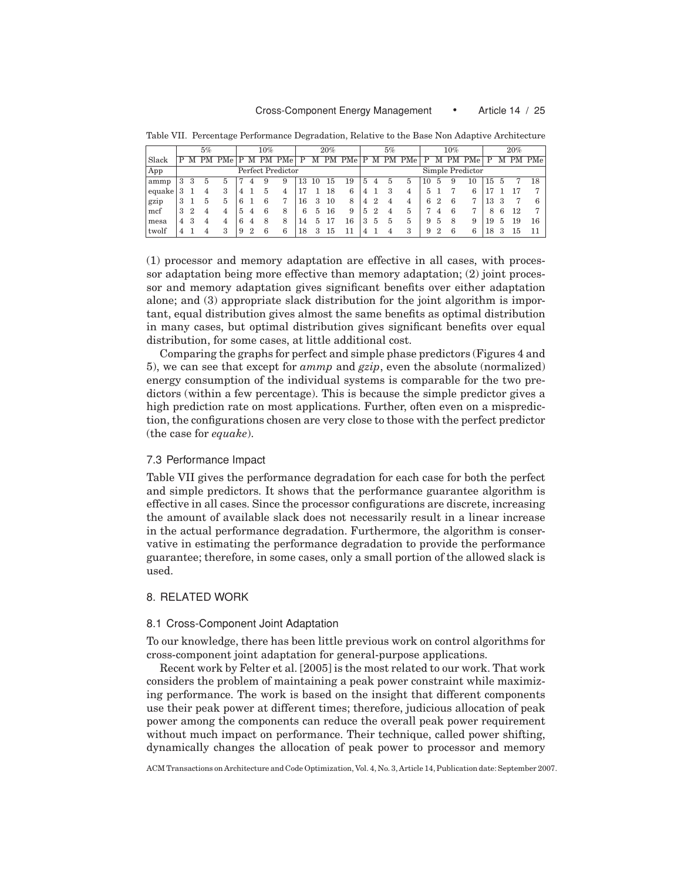|        | 5%                |   |   |        | $10\%$        |   |   |          | $20\%$         |                  |    |                       | $5\%$ |   |              |          | $10\%$ |                |   |          | $20\%$ |            |    |        |
|--------|-------------------|---|---|--------|---------------|---|---|----------|----------------|------------------|----|-----------------------|-------|---|--------------|----------|--------|----------------|---|----------|--------|------------|----|--------|
| Slack  |                   | M |   | PM PMe | P             |   |   | M PM PMe | P              | м                |    | PM PMe <sub>l</sub> P |       |   |              | M PM PMe | Ρ      |                |   | M PM PMe | P      | М          |    | PM PMe |
| App    | Perfect Predictor |   |   |        |               |   |   |          |                | Simple Predictor |    |                       |       |   |              |          |        |                |   |          |        |            |    |        |
| ammp   | 3                 | 3 | 5 | :5     |               |   | 9 | 9        | 13             | 10               | 15 | 19                    | 5.    | 4 | 5            | 5        | 10     | 5              |   | 10       | 15     | 5          |    | 18     |
| equake |                   |   |   |        |               |   |   |          |                |                  | 18 | 6                     |       |   |              |          |        |                |   |          |        |            |    |        |
| gzip   | 3                 |   | h |        | h             |   |   |          | 16             | з                | 10 | 8                     |       |   |              |          |        | 2              |   |          | 13     |            |    |        |
| mcf    | 3                 | 2 |   |        | $\mathcal{D}$ |   |   | 8        |                | 5                | 16 | 9                     | Ð.    |   |              |          |        |                |   |          | Χ      | 6          | 12 |        |
| mesa   | 4                 | 3 |   |        | h             |   |   | 8        | $\overline{a}$ |                  | 17 | 16                    | з     | 5 | <sub>5</sub> |          | 9      | 5              |   | 9        | 19     | $\ddot{ }$ | 19 | 16     |
| twolf  |                   |   |   | з      | 9             | ິ | 6 | 6        | 18             | 3                | 15 |                       |       |   |              | З        | 9      | $\overline{2}$ | 6 | 6        | 18     |            | 15 | 11     |

Table VII. Percentage Performance Degradation, Relative to the Base Non Adaptive Architecture

(1) processor and memory adaptation are effective in all cases, with processor adaptation being more effective than memory adaptation; (2) joint processor and memory adaptation gives significant benefits over either adaptation alone; and (3) appropriate slack distribution for the joint algorithm is important, equal distribution gives almost the same benefits as optimal distribution in many cases, but optimal distribution gives significant benefits over equal distribution, for some cases, at little additional cost.

Comparing the graphs for perfect and simple phase predictors (Figures 4 and 5), we can see that except for *ammp* and *gzip*, even the absolute (normalized) energy consumption of the individual systems is comparable for the two predictors (within a few percentage). This is because the simple predictor gives a high prediction rate on most applications. Further, often even on a misprediction, the configurations chosen are very close to those with the perfect predictor (the case for *equake*).

## 7.3 Performance Impact

Table VII gives the performance degradation for each case for both the perfect and simple predictors. It shows that the performance guarantee algorithm is effective in all cases. Since the processor configurations are discrete, increasing the amount of available slack does not necessarily result in a linear increase in the actual performance degradation. Furthermore, the algorithm is conservative in estimating the performance degradation to provide the performance guarantee; therefore, in some cases, only a small portion of the allowed slack is used.

# 8. RELATED WORK

## 8.1 Cross-Component Joint Adaptation

To our knowledge, there has been little previous work on control algorithms for cross-component joint adaptation for general-purpose applications.

Recent work by Felter et al. [2005] is the most related to our work. That work considers the problem of maintaining a peak power constraint while maximizing performance. The work is based on the insight that different components use their peak power at different times; therefore, judicious allocation of peak power among the components can reduce the overall peak power requirement without much impact on performance. Their technique, called power shifting, dynamically changes the allocation of peak power to processor and memory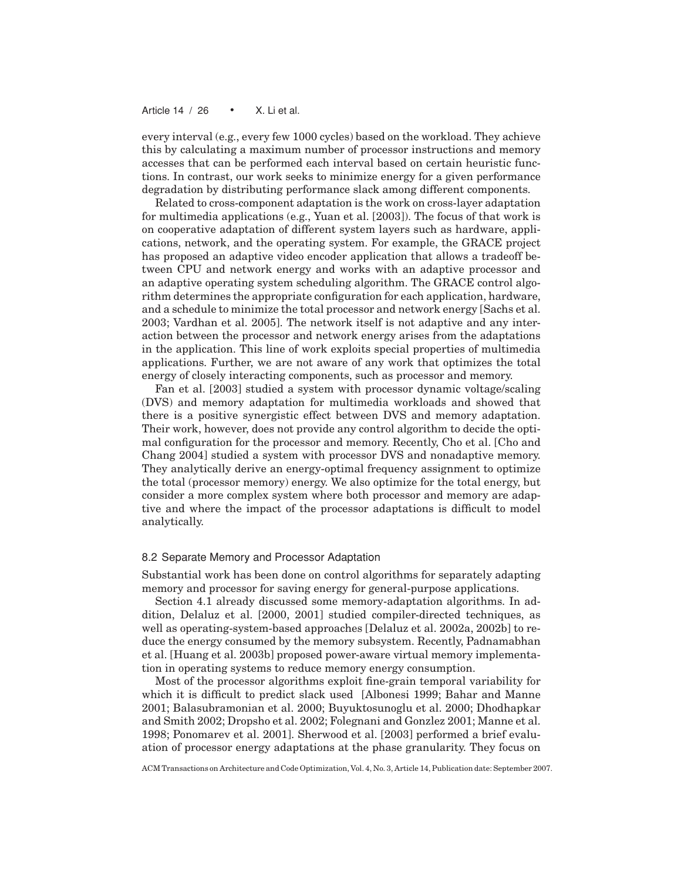## Article 14 / 26 • X. Li et al.

every interval (e.g., every few 1000 cycles) based on the workload. They achieve this by calculating a maximum number of processor instructions and memory accesses that can be performed each interval based on certain heuristic functions. In contrast, our work seeks to minimize energy for a given performance degradation by distributing performance slack among different components.

Related to cross-component adaptation is the work on cross-layer adaptation for multimedia applications (e.g., Yuan et al. [2003]). The focus of that work is on cooperative adaptation of different system layers such as hardware, applications, network, and the operating system. For example, the GRACE project has proposed an adaptive video encoder application that allows a tradeoff between CPU and network energy and works with an adaptive processor and an adaptive operating system scheduling algorithm. The GRACE control algorithm determines the appropriate configuration for each application, hardware, and a schedule to minimize the total processor and network energy [Sachs et al. 2003; Vardhan et al. 2005]. The network itself is not adaptive and any interaction between the processor and network energy arises from the adaptations in the application. This line of work exploits special properties of multimedia applications. Further, we are not aware of any work that optimizes the total energy of closely interacting components, such as processor and memory.

Fan et al. [2003] studied a system with processor dynamic voltage/scaling (DVS) and memory adaptation for multimedia workloads and showed that there is a positive synergistic effect between DVS and memory adaptation. Their work, however, does not provide any control algorithm to decide the optimal configuration for the processor and memory. Recently, Cho et al. [Cho and Chang 2004] studied a system with processor DVS and nonadaptive memory. They analytically derive an energy-optimal frequency assignment to optimize the total (processor memory) energy. We also optimize for the total energy, but consider a more complex system where both processor and memory are adaptive and where the impact of the processor adaptations is difficult to model analytically.

## 8.2 Separate Memory and Processor Adaptation

Substantial work has been done on control algorithms for separately adapting memory and processor for saving energy for general-purpose applications.

Section 4.1 already discussed some memory-adaptation algorithms. In addition, Delaluz et al. [2000, 2001] studied compiler-directed techniques, as well as operating-system-based approaches [Delaluz et al. 2002a, 2002b] to reduce the energy consumed by the memory subsystem. Recently, Padnamabhan et al. [Huang et al. 2003b] proposed power-aware virtual memory implementation in operating systems to reduce memory energy consumption.

Most of the processor algorithms exploit fine-grain temporal variability for which it is difficult to predict slack used [Albonesi 1999; Bahar and Manne 2001; Balasubramonian et al. 2000; Buyuktosunoglu et al. 2000; Dhodhapkar and Smith 2002; Dropsho et al. 2002; Folegnani and Gonzlez 2001; Manne et al. 1998; Ponomarev et al. 2001]. Sherwood et al. [2003] performed a brief evaluation of processor energy adaptations at the phase granularity. They focus on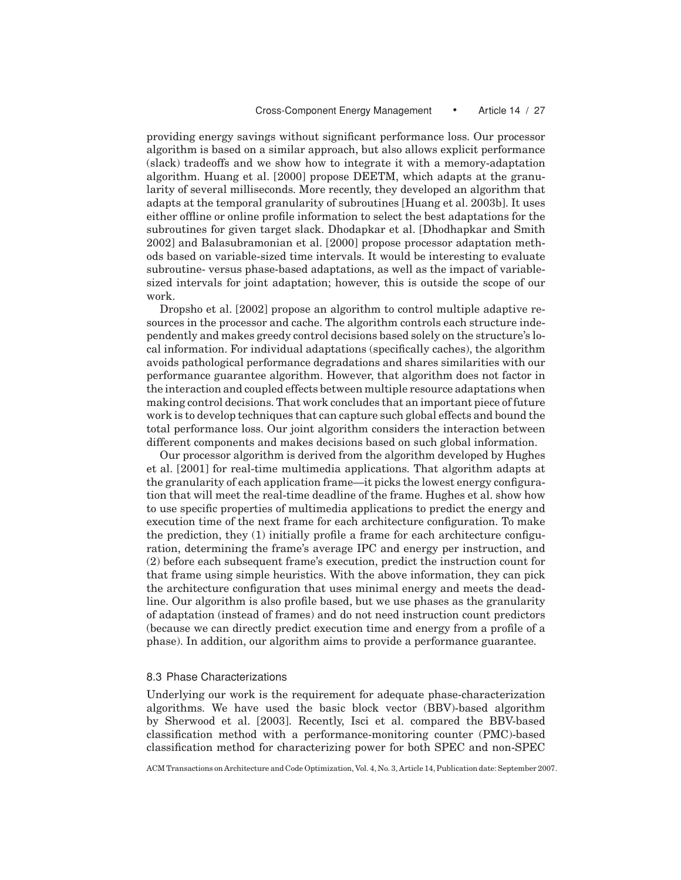providing energy savings without significant performance loss. Our processor algorithm is based on a similar approach, but also allows explicit performance (slack) tradeoffs and we show how to integrate it with a memory-adaptation algorithm. Huang et al. [2000] propose DEETM, which adapts at the granularity of several milliseconds. More recently, they developed an algorithm that adapts at the temporal granularity of subroutines [Huang et al. 2003b]. It uses either offline or online profile information to select the best adaptations for the subroutines for given target slack. Dhodapkar et al. [Dhodhapkar and Smith 2002] and Balasubramonian et al. [2000] propose processor adaptation methods based on variable-sized time intervals. It would be interesting to evaluate subroutine- versus phase-based adaptations, as well as the impact of variablesized intervals for joint adaptation; however, this is outside the scope of our work.

Dropsho et al. [2002] propose an algorithm to control multiple adaptive resources in the processor and cache. The algorithm controls each structure independently and makes greedy control decisions based solely on the structure's local information. For individual adaptations (specifically caches), the algorithm avoids pathological performance degradations and shares similarities with our performance guarantee algorithm. However, that algorithm does not factor in the interaction and coupled effects between multiple resource adaptations when making control decisions. That work concludes that an important piece of future work is to develop techniques that can capture such global effects and bound the total performance loss. Our joint algorithm considers the interaction between different components and makes decisions based on such global information.

Our processor algorithm is derived from the algorithm developed by Hughes et al. [2001] for real-time multimedia applications. That algorithm adapts at the granularity of each application frame—it picks the lowest energy configuration that will meet the real-time deadline of the frame. Hughes et al. show how to use specific properties of multimedia applications to predict the energy and execution time of the next frame for each architecture configuration. To make the prediction, they (1) initially profile a frame for each architecture configuration, determining the frame's average IPC and energy per instruction, and (2) before each subsequent frame's execution, predict the instruction count for that frame using simple heuristics. With the above information, they can pick the architecture configuration that uses minimal energy and meets the deadline. Our algorithm is also profile based, but we use phases as the granularity of adaptation (instead of frames) and do not need instruction count predictors (because we can directly predict execution time and energy from a profile of a phase). In addition, our algorithm aims to provide a performance guarantee.

# 8.3 Phase Characterizations

Underlying our work is the requirement for adequate phase-characterization algorithms. We have used the basic block vector (BBV)-based algorithm by Sherwood et al. [2003]. Recently, Isci et al. compared the BBV-based classification method with a performance-monitoring counter (PMC)-based classification method for characterizing power for both SPEC and non-SPEC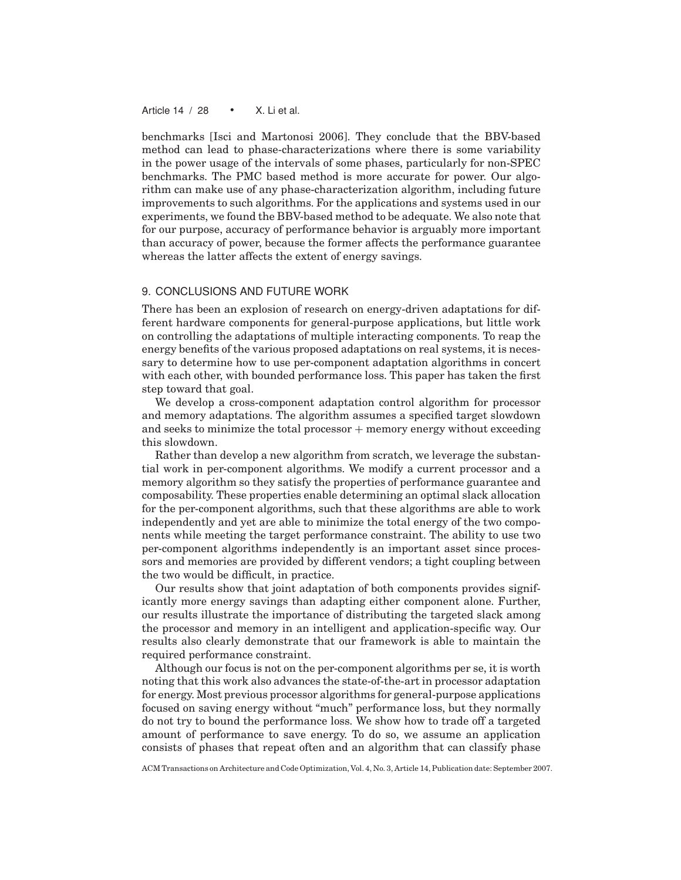Article 14 / 28 • X. Li et al.

benchmarks [Isci and Martonosi 2006]. They conclude that the BBV-based method can lead to phase-characterizations where there is some variability in the power usage of the intervals of some phases, particularly for non-SPEC benchmarks. The PMC based method is more accurate for power. Our algorithm can make use of any phase-characterization algorithm, including future improvements to such algorithms. For the applications and systems used in our experiments, we found the BBV-based method to be adequate. We also note that for our purpose, accuracy of performance behavior is arguably more important than accuracy of power, because the former affects the performance guarantee whereas the latter affects the extent of energy savings.

## 9. CONCLUSIONS AND FUTURE WORK

There has been an explosion of research on energy-driven adaptations for different hardware components for general-purpose applications, but little work on controlling the adaptations of multiple interacting components. To reap the energy benefits of the various proposed adaptations on real systems, it is necessary to determine how to use per-component adaptation algorithms in concert with each other, with bounded performance loss. This paper has taken the first step toward that goal.

We develop a cross-component adaptation control algorithm for processor and memory adaptations. The algorithm assumes a specified target slowdown and seeks to minimize the total processor  $+$  memory energy without exceeding this slowdown.

Rather than develop a new algorithm from scratch, we leverage the substantial work in per-component algorithms. We modify a current processor and a memory algorithm so they satisfy the properties of performance guarantee and composability. These properties enable determining an optimal slack allocation for the per-component algorithms, such that these algorithms are able to work independently and yet are able to minimize the total energy of the two components while meeting the target performance constraint. The ability to use two per-component algorithms independently is an important asset since processors and memories are provided by different vendors; a tight coupling between the two would be difficult, in practice.

Our results show that joint adaptation of both components provides significantly more energy savings than adapting either component alone. Further, our results illustrate the importance of distributing the targeted slack among the processor and memory in an intelligent and application-specific way. Our results also clearly demonstrate that our framework is able to maintain the required performance constraint.

Although our focus is not on the per-component algorithms per se, it is worth noting that this work also advances the state-of-the-art in processor adaptation for energy. Most previous processor algorithms for general-purpose applications focused on saving energy without "much" performance loss, but they normally do not try to bound the performance loss. We show how to trade off a targeted amount of performance to save energy. To do so, we assume an application consists of phases that repeat often and an algorithm that can classify phase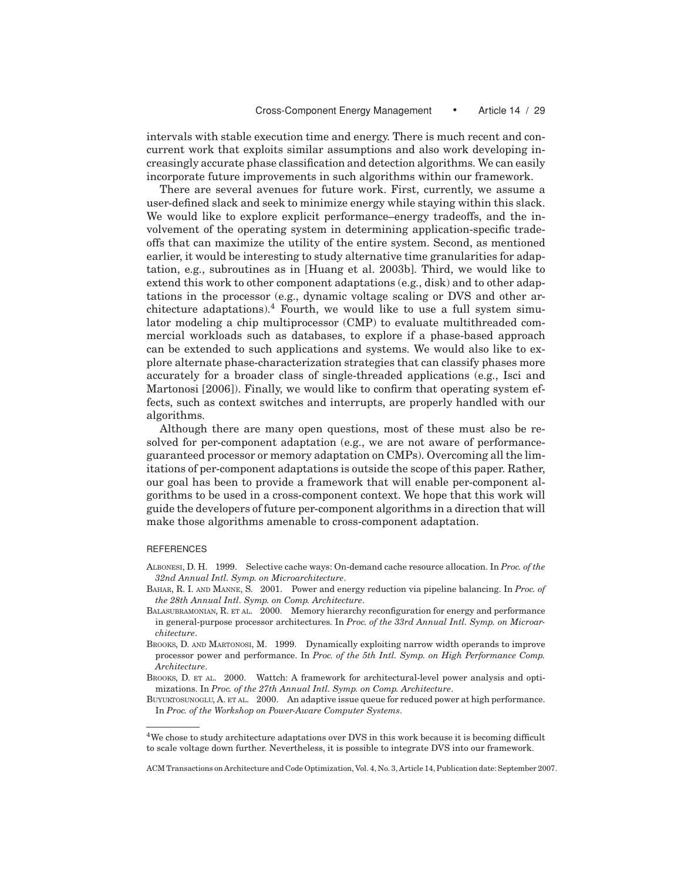intervals with stable execution time and energy. There is much recent and concurrent work that exploits similar assumptions and also work developing increasingly accurate phase classification and detection algorithms. We can easily incorporate future improvements in such algorithms within our framework.

There are several avenues for future work. First, currently, we assume a user-defined slack and seek to minimize energy while staying within this slack. We would like to explore explicit performance–energy tradeoffs, and the involvement of the operating system in determining application-specific tradeoffs that can maximize the utility of the entire system. Second, as mentioned earlier, it would be interesting to study alternative time granularities for adaptation, e.g., subroutines as in [Huang et al. 2003b]. Third, we would like to extend this work to other component adaptations (e.g., disk) and to other adaptations in the processor (e.g., dynamic voltage scaling or DVS and other architecture adaptations). $4$  Fourth, we would like to use a full system simulator modeling a chip multiprocessor (CMP) to evaluate multithreaded commercial workloads such as databases, to explore if a phase-based approach can be extended to such applications and systems. We would also like to explore alternate phase-characterization strategies that can classify phases more accurately for a broader class of single-threaded applications (e.g., Isci and Martonosi [2006]). Finally, we would like to confirm that operating system effects, such as context switches and interrupts, are properly handled with our algorithms.

Although there are many open questions, most of these must also be resolved for per-component adaptation (e.g., we are not aware of performanceguaranteed processor or memory adaptation on CMPs). Overcoming all the limitations of per-component adaptations is outside the scope of this paper. Rather, our goal has been to provide a framework that will enable per-component algorithms to be used in a cross-component context. We hope that this work will guide the developers of future per-component algorithms in a direction that will make those algorithms amenable to cross-component adaptation.

## **REFERENCES**

- ALBONESI, D. H. 1999. Selective cache ways: On-demand cache resource allocation. In *Proc. of the 32nd Annual Intl. Symp. on Microarchitecture*.
- BAHAR, R. I. AND MANNE, S. 2001. Power and energy reduction via pipeline balancing. In *Proc. of the 28th Annual Intl. Symp. on Comp. Architecture*.
- BALASUBRAMONIAN, R. ET AL. 2000. Memory hierarchy reconfiguration for energy and performance in general-purpose processor architectures. In *Proc. of the 33rd Annual Intl. Symp. on Microarchitecture*.
- BROOKS, D. AND MARTONOSI, M. 1999. Dynamically exploiting narrow width operands to improve processor power and performance. In *Proc. of the 5th Intl. Symp. on High Performance Comp. Architecture*.
- BROOKS, D. ET AL. 2000. Wattch: A framework for architectural-level power analysis and optimizations. In *Proc. of the 27th Annual Intl. Symp. on Comp. Architecture*.
- BUYUKTOSUNOGLU, A. ET AL. 2000. An adaptive issue queue for reduced power at high performance. In *Proc. of the Workshop on Power-Aware Computer Systems*.

<sup>&</sup>lt;sup>4</sup>We chose to study architecture adaptations over DVS in this work because it is becoming difficult to scale voltage down further. Nevertheless, it is possible to integrate DVS into our framework.

ACM Transactions on Architecture and Code Optimization, Vol. 4, No. 3, Article 14, Publication date: September 2007.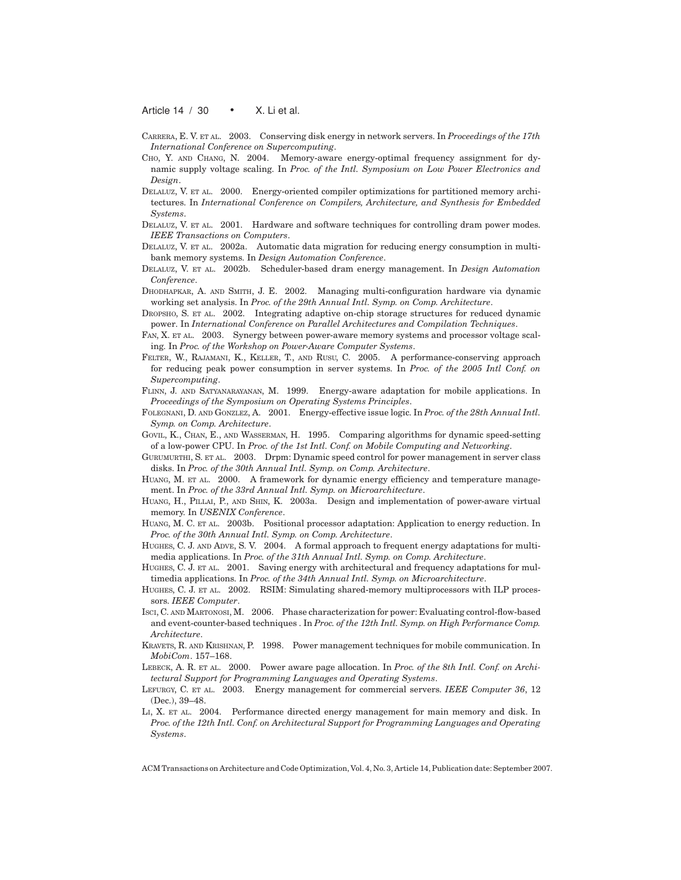Article 14 / 30 • X. Li et al.

- CARRERA, E. V. ET AL. 2003. Conserving disk energy in network servers. In *Proceedings of the 17th International Conference on Supercomputing*.
- CHO, Y. AND CHANG, N. 2004. Memory-aware energy-optimal frequency assignment for dynamic supply voltage scaling. In *Proc. of the Intl. Symposium on Low Power Electronics and Design*.
- DELALUZ, V. ET AL. 2000. Energy-oriented compiler optimizations for partitioned memory architectures. In *International Conference on Compilers, Architecture, and Synthesis for Embedded Systems*.
- DELALUZ, V. ET AL. 2001. Hardware and software techniques for controlling dram power modes. *IEEE Transactions on Computers*.
- DELALUZ, V. ET AL. 2002a. Automatic data migration for reducing energy consumption in multibank memory systems. In *Design Automation Conference*.
- DELALUZ, V. ET AL. 2002b. Scheduler-based dram energy management. In *Design Automation Conference*.
- DHODHAPKAR, A. AND SMITH, J. E. 2002. Managing multi-configuration hardware via dynamic working set analysis. In *Proc. of the 29th Annual Intl. Symp. on Comp. Architecture*.
- DROPSHO, S. ET AL. 2002. Integrating adaptive on-chip storage structures for reduced dynamic power. In *International Conference on Parallel Architectures and Compilation Techniques*.
- FAN, X. ET AL. 2003. Synergy between power-aware memory systems and processor voltage scaling. In *Proc. of the Workshop on Power-Aware Computer Systems*.
- FELTER, W., RAJAMANI, K., KELLER, T., AND RUSU, C. 2005. A performance-conserving approach for reducing peak power consumption in server systems. In *Proc. of the 2005 Intl Conf. on Supercomputing*.
- FLINN, J. AND SATYANARAYANAN, M. 1999. Energy-aware adaptation for mobile applications. In *Proceedings of the Symposium on Operating Systems Principles*.
- FOLEGNANI, D. AND GONZLEZ, A. 2001. Energy-effective issue logic. In *Proc. of the 28th Annual Intl. Symp. on Comp. Architecture*.
- GOVIL, K., CHAN, E., AND WASSERMAN, H. 1995. Comparing algorithms for dynamic speed-setting of a low-power CPU. In *Proc. of the 1st Intl. Conf. on Mobile Computing and Networking*.
- GURUMURTHI, S. ET AL. 2003. Drpm: Dynamic speed control for power management in server class disks. In *Proc. of the 30th Annual Intl. Symp. on Comp. Architecture*.
- HUANG, M. ET AL. 2000. A framework for dynamic energy efficiency and temperature management. In *Proc. of the 33rd Annual Intl. Symp. on Microarchitecture*.
- HUANG, H., PILLAI, P., AND SHIN, K. 2003a. Design and implementation of power-aware virtual memory. In *USENIX Conference*.
- HUANG, M. C. ET AL. 2003b. Positional processor adaptation: Application to energy reduction. In *Proc. of the 30th Annual Intl. Symp. on Comp. Architecture*.
- HUGHES, C. J. AND ADVE, S. V. 2004. A formal approach to frequent energy adaptations for multimedia applications. In *Proc. of the 31th Annual Intl. Symp. on Comp. Architecture*.
- HUGHES, C. J. ET AL. 2001. Saving energy with architectural and frequency adaptations for multimedia applications. In *Proc. of the 34th Annual Intl. Symp. on Microarchitecture*.
- HUGHES, C. J. ET AL. 2002. RSIM: Simulating shared-memory multiprocessors with ILP processors. *IEEE Computer*.
- ISCI, C. AND MARTONOSI, M. 2006. Phase characterization for power: Evaluating control-flow-based and event-counter-based techniques . In *Proc. of the 12th Intl. Symp. on High Performance Comp. Architecture*.
- KRAVETS, R. AND KRISHNAN, P. 1998. Power management techniques for mobile communication. In *MobiCom*. 157–168.
- LEBECK, A. R. ET AL. 2000. Power aware page allocation. In *Proc. of the 8th Intl. Conf. on Architectural Support for Programming Languages and Operating Systems*.
- LEFURGY, C. ET AL. 2003. Energy management for commercial servers. *IEEE Computer 36*, 12 (Dec.), 39–48.
- LI, X. ET AL. 2004. Performance directed energy management for main memory and disk. In *Proc. of the 12th Intl. Conf. on Architectural Support for Programming Languages and Operating Systems*.